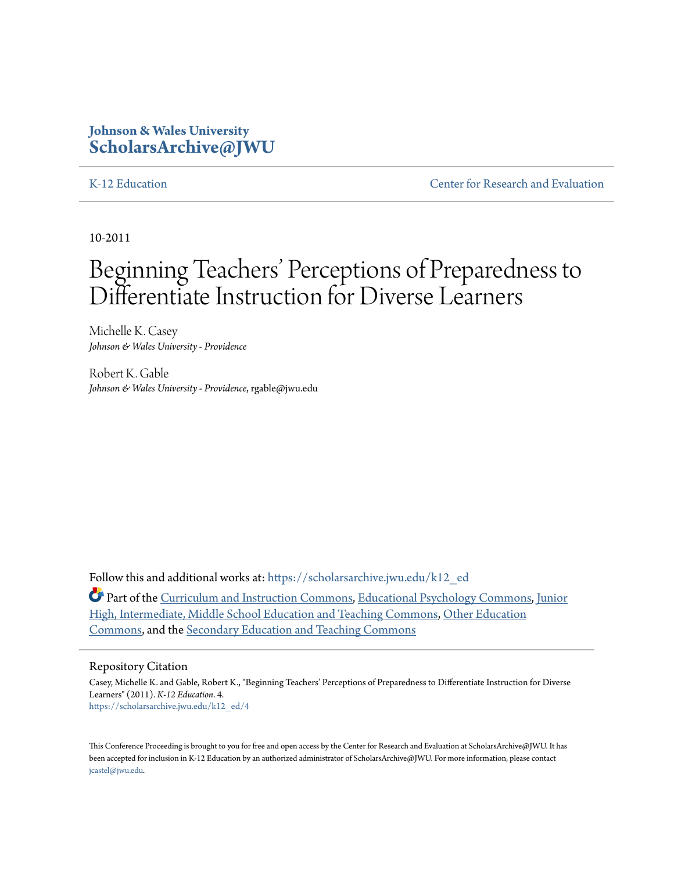# **Johnson & Wales University [ScholarsArchive@JWU](https://scholarsarchive.jwu.edu?utm_source=scholarsarchive.jwu.edu%2Fk12_ed%2F4&utm_medium=PDF&utm_campaign=PDFCoverPages)**

[K-12 Education](https://scholarsarchive.jwu.edu/k12_ed?utm_source=scholarsarchive.jwu.edu%2Fk12_ed%2F4&utm_medium=PDF&utm_campaign=PDFCoverPages) [Center for Research and Evaluation](https://scholarsarchive.jwu.edu/research?utm_source=scholarsarchive.jwu.edu%2Fk12_ed%2F4&utm_medium=PDF&utm_campaign=PDFCoverPages)

10-2011

# Beginning Teachers' Perceptions of Preparedness to Differentiate Instruction for Diverse Learners

Michelle K. Casey *Johnson & Wales University - Providence*

Robert K. Gable *Johnson & Wales University - Providence*, rgable@jwu.edu

Follow this and additional works at: [https://scholarsarchive.jwu.edu/k12\\_ed](https://scholarsarchive.jwu.edu/k12_ed?utm_source=scholarsarchive.jwu.edu%2Fk12_ed%2F4&utm_medium=PDF&utm_campaign=PDFCoverPages)

Part of the [Curriculum and Instruction Commons](http://network.bepress.com/hgg/discipline/786?utm_source=scholarsarchive.jwu.edu%2Fk12_ed%2F4&utm_medium=PDF&utm_campaign=PDFCoverPages), [Educational Psychology Commons,](http://network.bepress.com/hgg/discipline/798?utm_source=scholarsarchive.jwu.edu%2Fk12_ed%2F4&utm_medium=PDF&utm_campaign=PDFCoverPages) [Junior](http://network.bepress.com/hgg/discipline/807?utm_source=scholarsarchive.jwu.edu%2Fk12_ed%2F4&utm_medium=PDF&utm_campaign=PDFCoverPages) [High, Intermediate, Middle School Education and Teaching Commons,](http://network.bepress.com/hgg/discipline/807?utm_source=scholarsarchive.jwu.edu%2Fk12_ed%2F4&utm_medium=PDF&utm_campaign=PDFCoverPages) [Other Education](http://network.bepress.com/hgg/discipline/811?utm_source=scholarsarchive.jwu.edu%2Fk12_ed%2F4&utm_medium=PDF&utm_campaign=PDFCoverPages) [Commons,](http://network.bepress.com/hgg/discipline/811?utm_source=scholarsarchive.jwu.edu%2Fk12_ed%2F4&utm_medium=PDF&utm_campaign=PDFCoverPages) and the [Secondary Education and Teaching Commons](http://network.bepress.com/hgg/discipline/809?utm_source=scholarsarchive.jwu.edu%2Fk12_ed%2F4&utm_medium=PDF&utm_campaign=PDFCoverPages)

#### Repository Citation

Casey, Michelle K. and Gable, Robert K., "Beginning Teachers' Perceptions of Preparedness to Differentiate Instruction for Diverse Learners" (2011). *K-12 Education*. 4. [https://scholarsarchive.jwu.edu/k12\\_ed/4](https://scholarsarchive.jwu.edu/k12_ed/4?utm_source=scholarsarchive.jwu.edu%2Fk12_ed%2F4&utm_medium=PDF&utm_campaign=PDFCoverPages)

This Conference Proceeding is brought to you for free and open access by the Center for Research and Evaluation at ScholarsArchive@JWU. It has been accepted for inclusion in K-12 Education by an authorized administrator of ScholarsArchive@JWU. For more information, please contact [jcastel@jwu.edu.](mailto:jcastel@jwu.edu)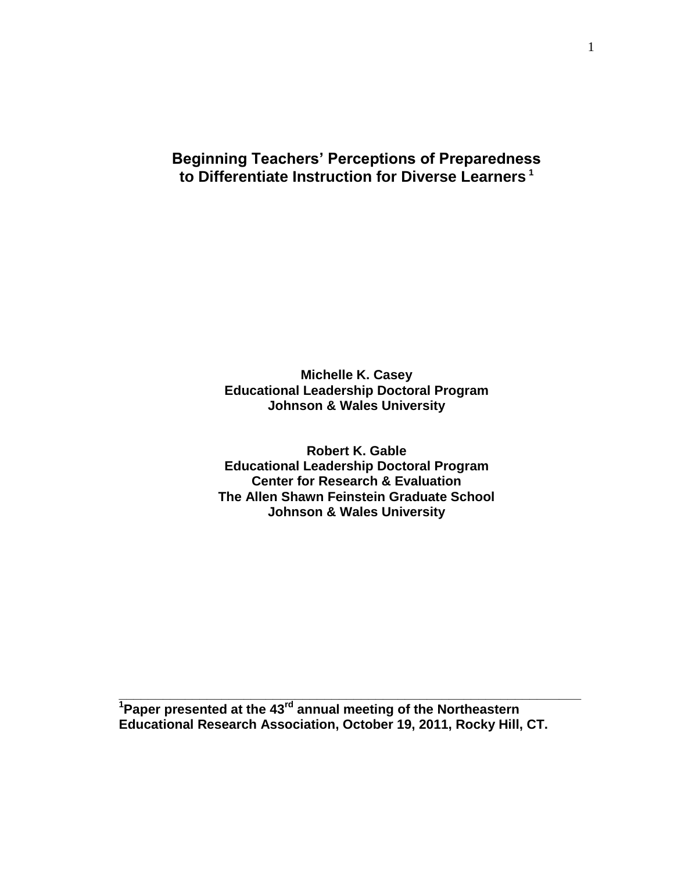# **Beginning Teachers' Perceptions of Preparedness to Differentiate Instruction for Diverse Learners <sup>1</sup>**

**Michelle K. Casey Educational Leadership Doctoral Program Johnson & Wales University**

**Robert K. Gable Educational Leadership Doctoral Program Center for Research & Evaluation The Allen Shawn Feinstein Graduate School Johnson & Wales University**

**<sup>1</sup>Paper presented at the 43rd annual meeting of the Northeastern Educational Research Association, October 19, 2011, Rocky Hill, CT.** 

**\_\_\_\_\_\_\_\_\_\_\_\_\_\_\_\_\_\_\_\_\_\_\_\_\_\_\_\_\_\_\_\_\_\_\_\_\_\_\_\_\_\_\_\_\_\_\_\_\_\_\_\_\_\_\_\_\_\_\_\_\_\_\_**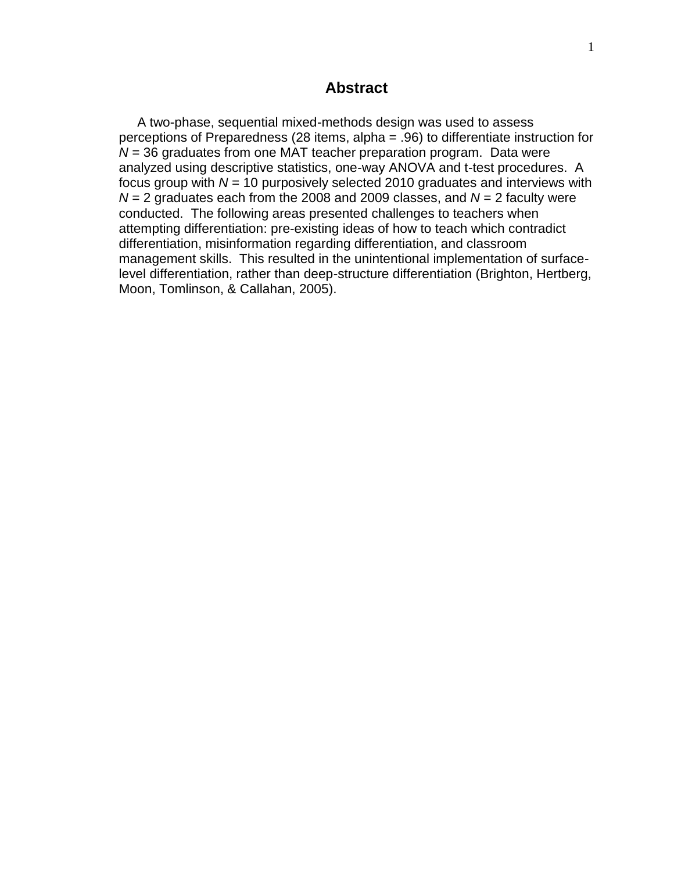# **Abstract**

 A two-phase, sequential mixed-methods design was used to assess perceptions of Preparedness (28 items, alpha = .96) to differentiate instruction for *N* = 36 graduates from one MAT teacher preparation program. Data were analyzed using descriptive statistics, one-way ANOVA and t-test procedures. A focus group with *N* = 10 purposively selected 2010 graduates and interviews with  $N = 2$  graduates each from the 2008 and 2009 classes, and  $N = 2$  faculty were conducted. The following areas presented challenges to teachers when attempting differentiation: pre-existing ideas of how to teach which contradict differentiation, misinformation regarding differentiation, and classroom management skills. This resulted in the unintentional implementation of surfacelevel differentiation, rather than deep-structure differentiation (Brighton, Hertberg, Moon, Tomlinson, & Callahan, 2005).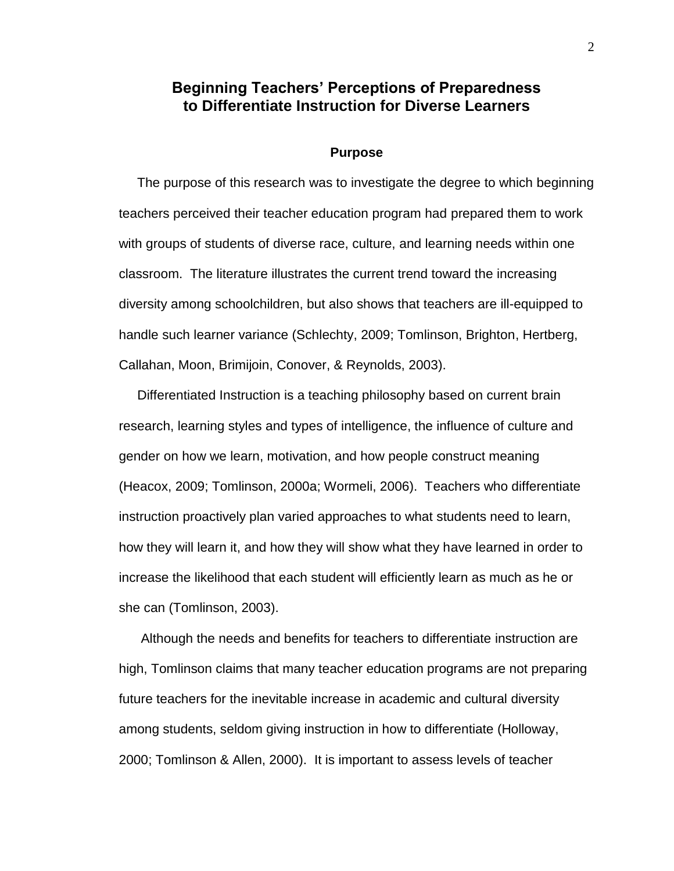# **Beginning Teachers' Perceptions of Preparedness to Differentiate Instruction for Diverse Learners**

#### **Purpose**

 The purpose of this research was to investigate the degree to which beginning teachers perceived their teacher education program had prepared them to work with groups of students of diverse race, culture, and learning needs within one classroom. The literature illustrates the current trend toward the increasing diversity among schoolchildren, but also shows that teachers are ill-equipped to handle such learner variance (Schlechty, 2009; Tomlinson, Brighton, Hertberg, Callahan, Moon, Brimijoin, Conover, & Reynolds, 2003).

 Differentiated Instruction is a teaching philosophy based on current brain research, learning styles and types of intelligence, the influence of culture and gender on how we learn, motivation, and how people construct meaning (Heacox, 2009; Tomlinson, 2000a; Wormeli, 2006). Teachers who differentiate instruction proactively plan varied approaches to what students need to learn, how they will learn it, and how they will show what they have learned in order to increase the likelihood that each student will efficiently learn as much as he or she can (Tomlinson, 2003).

 Although the needs and benefits for teachers to differentiate instruction are high, Tomlinson claims that many teacher education programs are not preparing future teachers for the inevitable increase in academic and cultural diversity among students, seldom giving instruction in how to differentiate (Holloway, 2000; Tomlinson & Allen, 2000). It is important to assess levels of teacher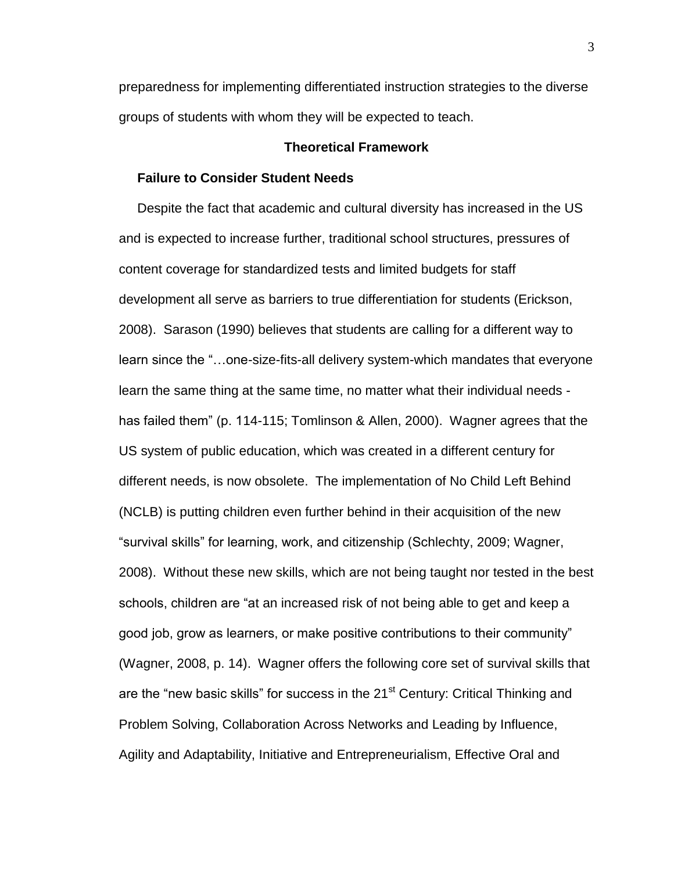preparedness for implementing differentiated instruction strategies to the diverse groups of students with whom they will be expected to teach.

# **Theoretical Framework**

#### **Failure to Consider Student Needs**

 Despite the fact that academic and cultural diversity has increased in the US and is expected to increase further, traditional school structures, pressures of content coverage for standardized tests and limited budgets for staff development all serve as barriers to true differentiation for students (Erickson, 2008). Sarason (1990) believes that students are calling for a different way to learn since the "…one-size-fits-all delivery system-which mandates that everyone learn the same thing at the same time, no matter what their individual needs has failed them" (p. 114-115; Tomlinson & Allen, 2000). Wagner agrees that the US system of public education, which was created in a different century for different needs, is now obsolete. The implementation of No Child Left Behind (NCLB) is putting children even further behind in their acquisition of the new "survival skills" for learning, work, and citizenship (Schlechty, 2009; Wagner, 2008). Without these new skills, which are not being taught nor tested in the best schools, children are "at an increased risk of not being able to get and keep a good job, grow as learners, or make positive contributions to their community" (Wagner, 2008, p. 14). Wagner offers the following core set of survival skills that are the "new basic skills" for success in the 21<sup>st</sup> Century: Critical Thinking and Problem Solving, Collaboration Across Networks and Leading by Influence, Agility and Adaptability, Initiative and Entrepreneurialism, Effective Oral and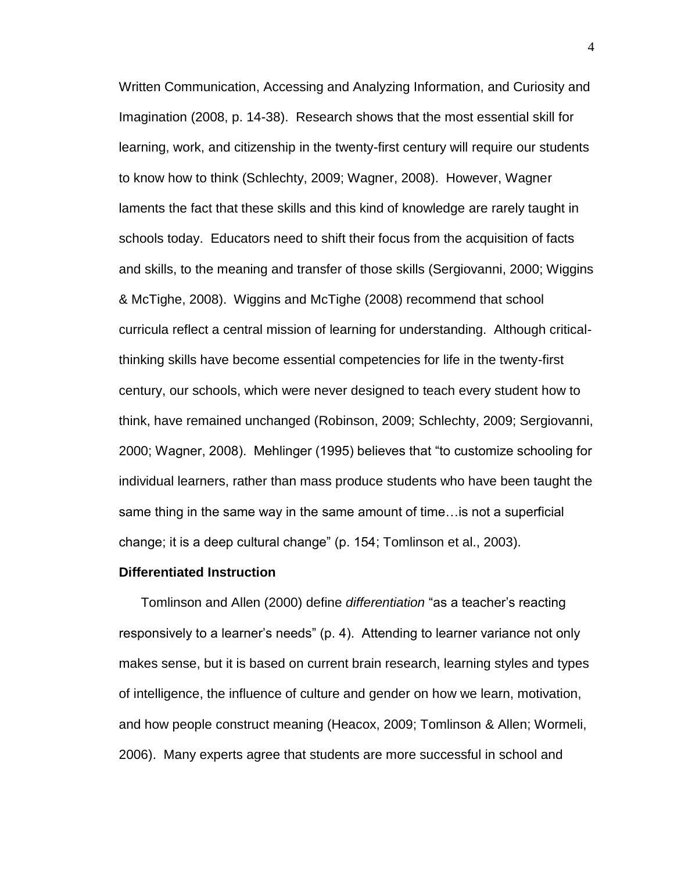Written Communication, Accessing and Analyzing Information, and Curiosity and Imagination (2008, p. 14-38). Research shows that the most essential skill for learning, work, and citizenship in the twenty-first century will require our students to know how to think (Schlechty, 2009; Wagner, 2008). However, Wagner laments the fact that these skills and this kind of knowledge are rarely taught in schools today. Educators need to shift their focus from the acquisition of facts and skills, to the meaning and transfer of those skills (Sergiovanni, 2000; Wiggins & McTighe, 2008). Wiggins and McTighe (2008) recommend that school curricula reflect a central mission of learning for understanding. Although criticalthinking skills have become essential competencies for life in the twenty-first century, our schools, which were never designed to teach every student how to think, have remained unchanged (Robinson, 2009; Schlechty, 2009; Sergiovanni, 2000; Wagner, 2008). Mehlinger (1995) believes that "to customize schooling for individual learners, rather than mass produce students who have been taught the same thing in the same way in the same amount of time…is not a superficial change; it is a deep cultural change" (p. 154; Tomlinson et al., 2003).

#### **Differentiated Instruction**

 Tomlinson and Allen (2000) define *differentiation* "as a teacher's reacting responsively to a learner's needs" (p. 4). Attending to learner variance not only makes sense, but it is based on current brain research, learning styles and types of intelligence, the influence of culture and gender on how we learn, motivation, and how people construct meaning (Heacox, 2009; Tomlinson & Allen; Wormeli, 2006). Many experts agree that students are more successful in school and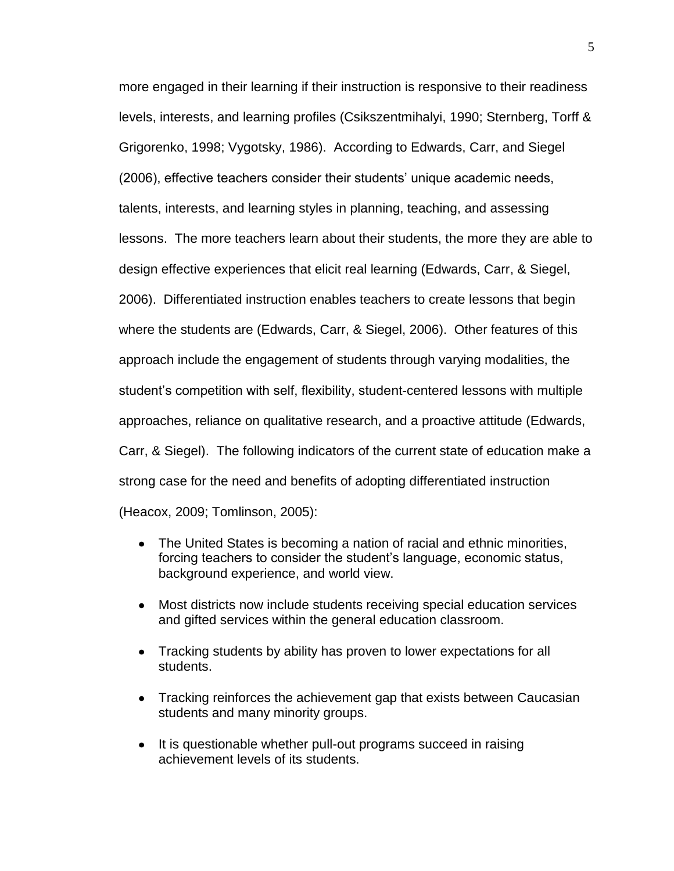more engaged in their learning if their instruction is responsive to their readiness levels, interests, and learning profiles (Csikszentmihalyi, 1990; Sternberg, Torff & Grigorenko, 1998; Vygotsky, 1986). According to Edwards, Carr, and Siegel (2006), effective teachers consider their students' unique academic needs, talents, interests, and learning styles in planning, teaching, and assessing lessons. The more teachers learn about their students, the more they are able to design effective experiences that elicit real learning (Edwards, Carr, & Siegel, 2006). Differentiated instruction enables teachers to create lessons that begin where the students are (Edwards, Carr, & Siegel, 2006). Other features of this approach include the engagement of students through varying modalities, the student's competition with self, flexibility, student-centered lessons with multiple approaches, reliance on qualitative research, and a proactive attitude (Edwards, Carr, & Siegel). The following indicators of the current state of education make a strong case for the need and benefits of adopting differentiated instruction (Heacox, 2009; Tomlinson, 2005):

- $\bullet$ The United States is becoming a nation of racial and ethnic minorities, forcing teachers to consider the student's language, economic status, background experience, and world view.
- $\bullet$ Most districts now include students receiving special education services and gifted services within the general education classroom.
- Tracking students by ability has proven to lower expectations for all students.
- Tracking reinforces the achievement gap that exists between Caucasian students and many minority groups.
- It is questionable whether pull-out programs succeed in raising achievement levels of its students.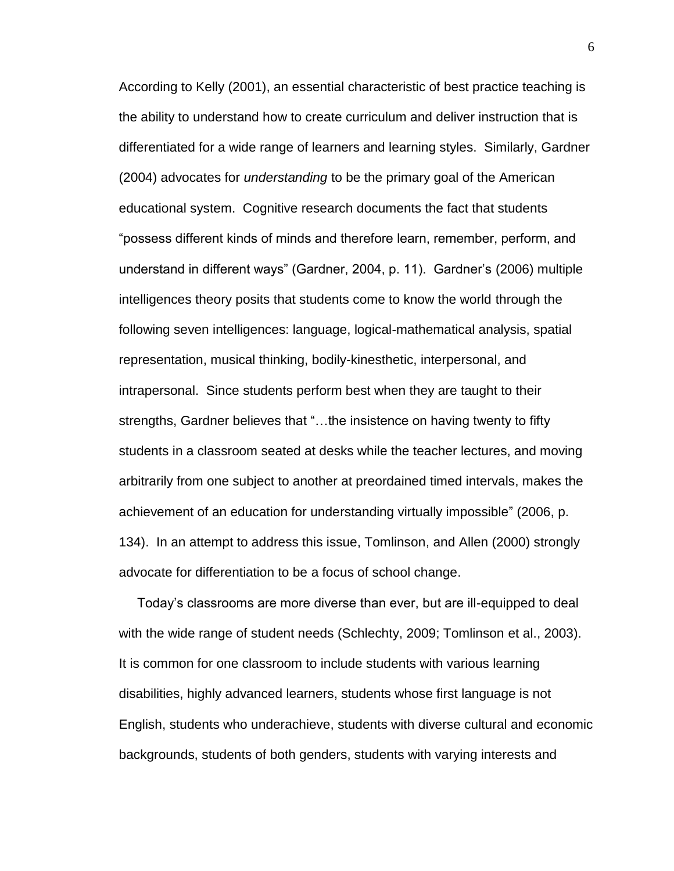According to Kelly (2001), an essential characteristic of best practice teaching is the ability to understand how to create curriculum and deliver instruction that is differentiated for a wide range of learners and learning styles. Similarly, Gardner (2004) advocates for *understanding* to be the primary goal of the American educational system. Cognitive research documents the fact that students "possess different kinds of minds and therefore learn, remember, perform, and understand in different ways" (Gardner, 2004, p. 11). Gardner's (2006) multiple intelligences theory posits that students come to know the world through the following seven intelligences: language, logical-mathematical analysis, spatial representation, musical thinking, bodily-kinesthetic, interpersonal, and intrapersonal. Since students perform best when they are taught to their strengths, Gardner believes that "…the insistence on having twenty to fifty students in a classroom seated at desks while the teacher lectures, and moving arbitrarily from one subject to another at preordained timed intervals, makes the achievement of an education for understanding virtually impossible" (2006, p. 134). In an attempt to address this issue, Tomlinson, and Allen (2000) strongly advocate for differentiation to be a focus of school change.

 Today's classrooms are more diverse than ever, but are ill-equipped to deal with the wide range of student needs (Schlechty, 2009; Tomlinson et al., 2003). It is common for one classroom to include students with various learning disabilities, highly advanced learners, students whose first language is not English, students who underachieve, students with diverse cultural and economic backgrounds, students of both genders, students with varying interests and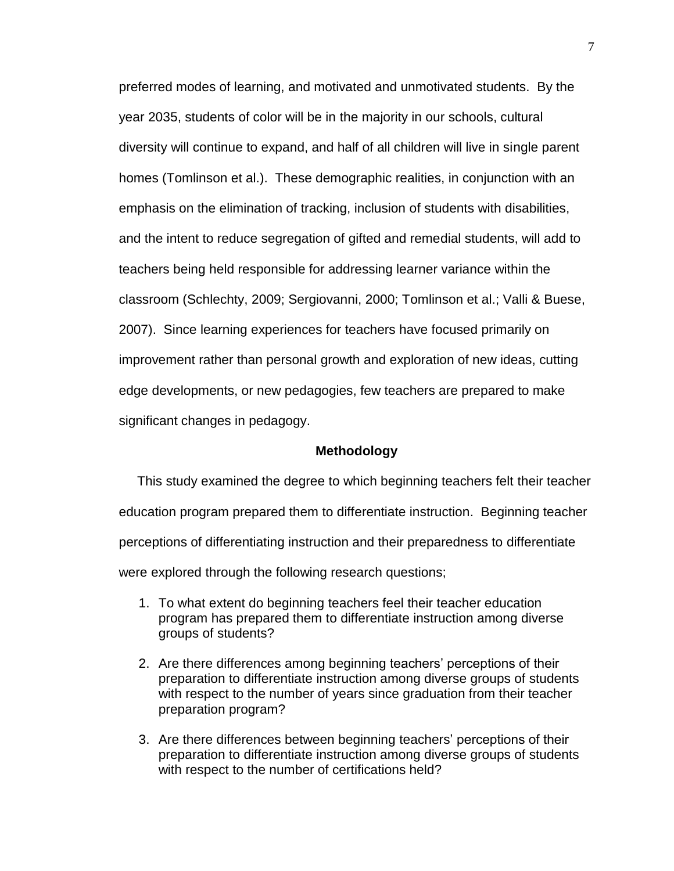preferred modes of learning, and motivated and unmotivated students. By the year 2035, students of color will be in the majority in our schools, cultural diversity will continue to expand, and half of all children will live in single parent homes (Tomlinson et al.). These demographic realities, in conjunction with an emphasis on the elimination of tracking, inclusion of students with disabilities, and the intent to reduce segregation of gifted and remedial students, will add to teachers being held responsible for addressing learner variance within the classroom (Schlechty, 2009; Sergiovanni, 2000; Tomlinson et al.; Valli & Buese, 2007). Since learning experiences for teachers have focused primarily on improvement rather than personal growth and exploration of new ideas, cutting edge developments, or new pedagogies, few teachers are prepared to make significant changes in pedagogy.

#### **Methodology**

 This study examined the degree to which beginning teachers felt their teacher education program prepared them to differentiate instruction. Beginning teacher perceptions of differentiating instruction and their preparedness to differentiate were explored through the following research questions;

- 1. To what extent do beginning teachers feel their teacher education program has prepared them to differentiate instruction among diverse groups of students?
- 2. Are there differences among beginning teachers' perceptions of their preparation to differentiate instruction among diverse groups of students with respect to the number of years since graduation from their teacher preparation program?
- 3. Are there differences between beginning teachers' perceptions of their preparation to differentiate instruction among diverse groups of students with respect to the number of certifications held?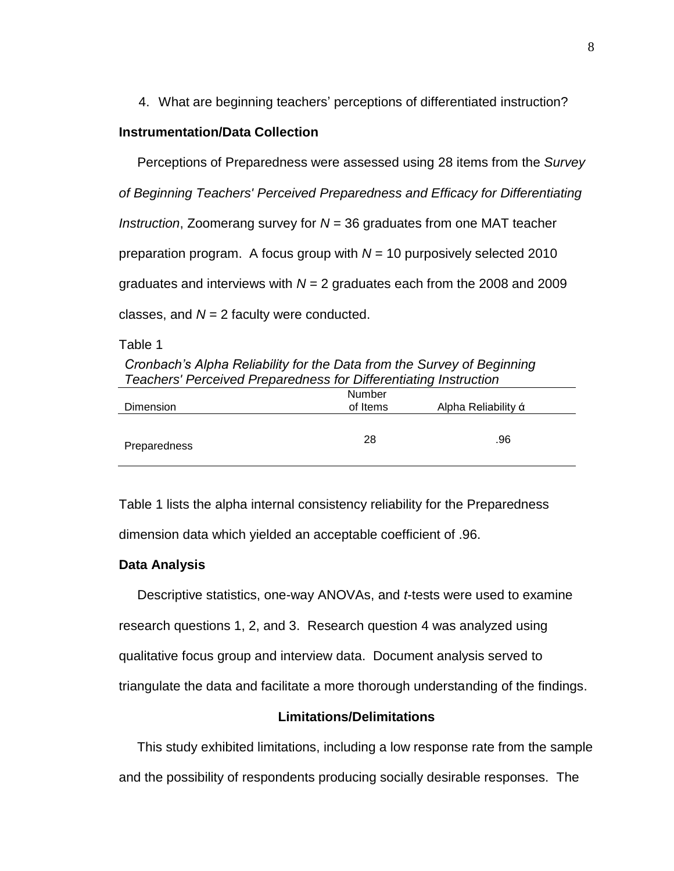4. What are beginning teachers' perceptions of differentiated instruction?

# **Instrumentation/Data Collection**

Perceptions of Preparedness were assessed using 28 items from the *Survey of Beginning Teachers' Perceived Preparedness and Efficacy for Differentiating Instruction*, Zoomerang survey for *N* = 36 graduates from one MAT teacher preparation program. A focus group with *N* = 10 purposively selected 2010 graduates and interviews with *N* = 2 graduates each from the 2008 and 2009 classes, and  $N = 2$  faculty were conducted.

Table 1

*Cronbach's Alpha Reliability for the Data from the Survey of Beginning Teachers' Perceived Preparedness for Differentiating Instruction*

| <b>Dimension</b> | Number<br>of Items | Alpha Reliability á |
|------------------|--------------------|---------------------|
| Preparedness     | 28                 | .96                 |

Table 1 lists the alpha internal consistency reliability for the Preparedness dimension data which yielded an acceptable coefficient of .96.

#### **Data Analysis**

 Descriptive statistics, one-way ANOVAs, and *t*-tests were used to examine research questions 1, 2, and 3. Research question 4 was analyzed using qualitative focus group and interview data. Document analysis served to triangulate the data and facilitate a more thorough understanding of the findings.

# **Limitations/Delimitations**

This study exhibited limitations, including a low response rate from the sample and the possibility of respondents producing socially desirable responses. The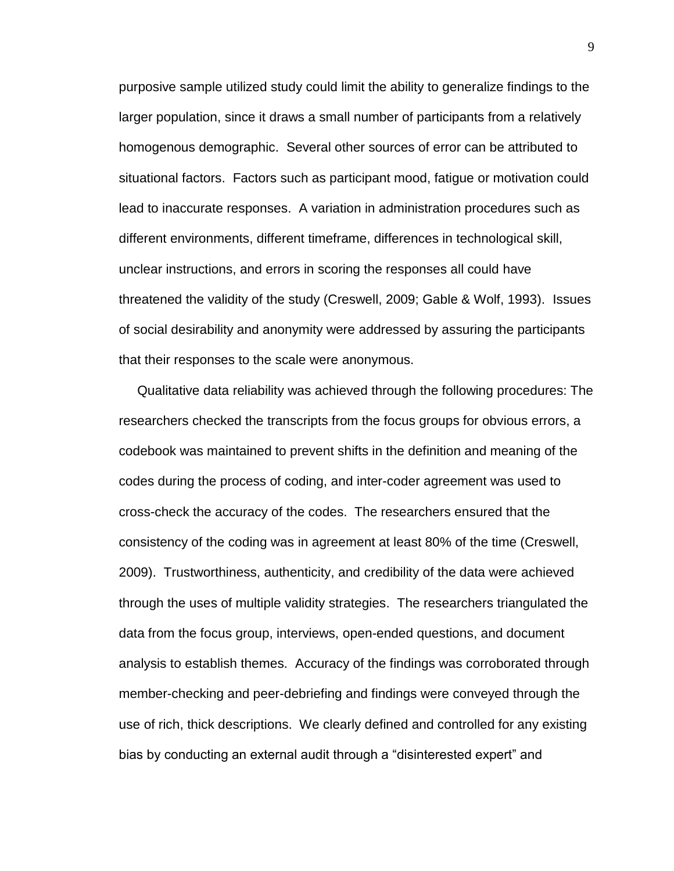purposive sample utilized study could limit the ability to generalize findings to the larger population, since it draws a small number of participants from a relatively homogenous demographic. Several other sources of error can be attributed to situational factors. Factors such as participant mood, fatigue or motivation could lead to inaccurate responses. A variation in administration procedures such as different environments, different timeframe, differences in technological skill, unclear instructions, and errors in scoring the responses all could have threatened the validity of the study (Creswell, 2009; Gable & Wolf, 1993). Issues of social desirability and anonymity were addressed by assuring the participants that their responses to the scale were anonymous.

 Qualitative data reliability was achieved through the following procedures: The researchers checked the transcripts from the focus groups for obvious errors, a codebook was maintained to prevent shifts in the definition and meaning of the codes during the process of coding, and inter-coder agreement was used to cross-check the accuracy of the codes. The researchers ensured that the consistency of the coding was in agreement at least 80% of the time (Creswell, 2009). Trustworthiness, authenticity, and credibility of the data were achieved through the uses of multiple validity strategies. The researchers triangulated the data from the focus group, interviews, open-ended questions, and document analysis to establish themes. Accuracy of the findings was corroborated through member-checking and peer-debriefing and findings were conveyed through the use of rich, thick descriptions. We clearly defined and controlled for any existing bias by conducting an external audit through a "disinterested expert" and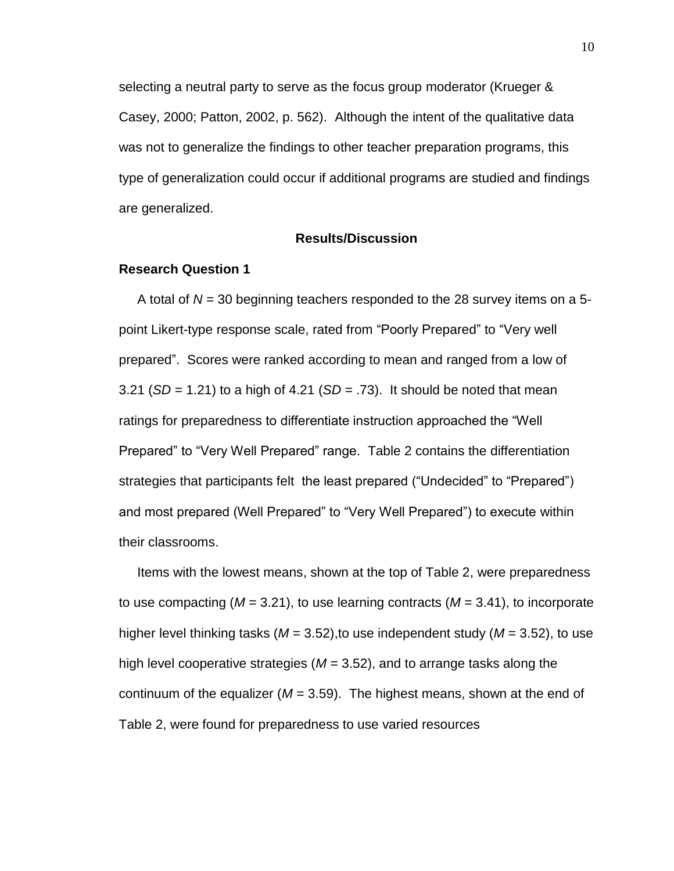selecting a neutral party to serve as the focus group moderator (Krueger & Casey, 2000; Patton, 2002, p. 562). Although the intent of the qualitative data was not to generalize the findings to other teacher preparation programs, this type of generalization could occur if additional programs are studied and findings are generalized.

#### **Results/Discussion**

#### **Research Question 1**

A total of *N* = 30 beginning teachers responded to the 28 survey items on a 5 point Likert-type response scale, rated from "Poorly Prepared" to "Very well prepared". Scores were ranked according to mean and ranged from a low of 3.21 (*SD =* 1.21) to a high of 4.21 (*SD =* .73). It should be noted that mean ratings for preparedness to differentiate instruction approached the "Well Prepared" to "Very Well Prepared" range. Table 2 contains the differentiation strategies that participants felt the least prepared ("Undecided" to "Prepared") and most prepared (Well Prepared" to "Very Well Prepared") to execute within their classrooms.

 Items with the lowest means, shown at the top of Table 2, were preparedness to use compacting (*M* = 3.21), to use learning contracts (*M* = 3.41), to incorporate higher level thinking tasks (*M* = 3.52),to use independent study (*M* = 3.52), to use high level cooperative strategies (*M* = 3.52), and to arrange tasks along the continuum of the equalizer (*M* = 3.59). The highest means, shown at the end of Table 2, were found for preparedness to use varied resources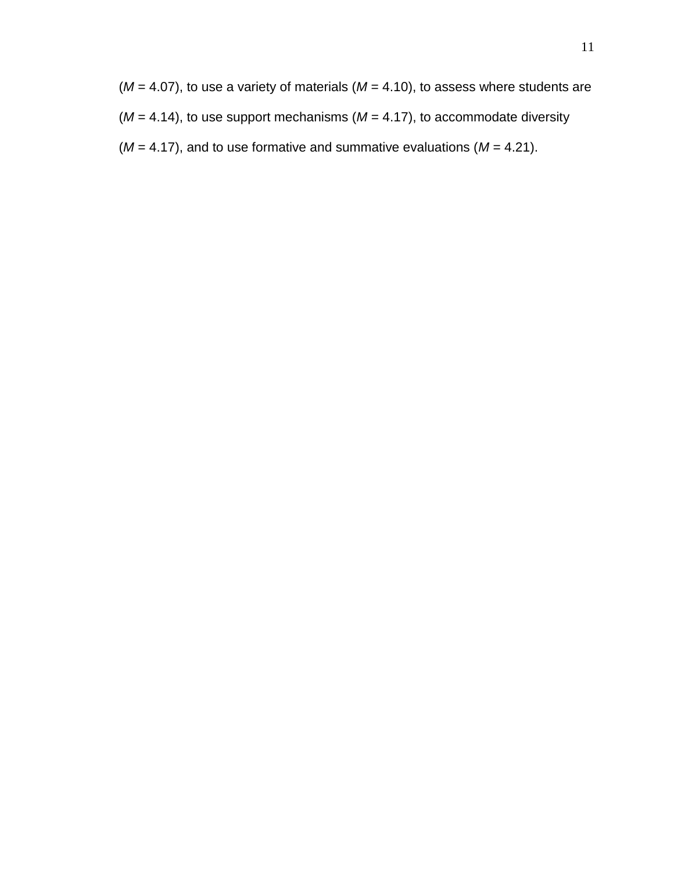$(M = 4.07)$ , to use a variety of materials  $(M = 4.10)$ , to assess where students are  $(M = 4.14)$ , to use support mechanisms  $(M = 4.17)$ , to accommodate diversity  $(M = 4.17)$ , and to use formative and summative evaluations  $(M = 4.21)$ .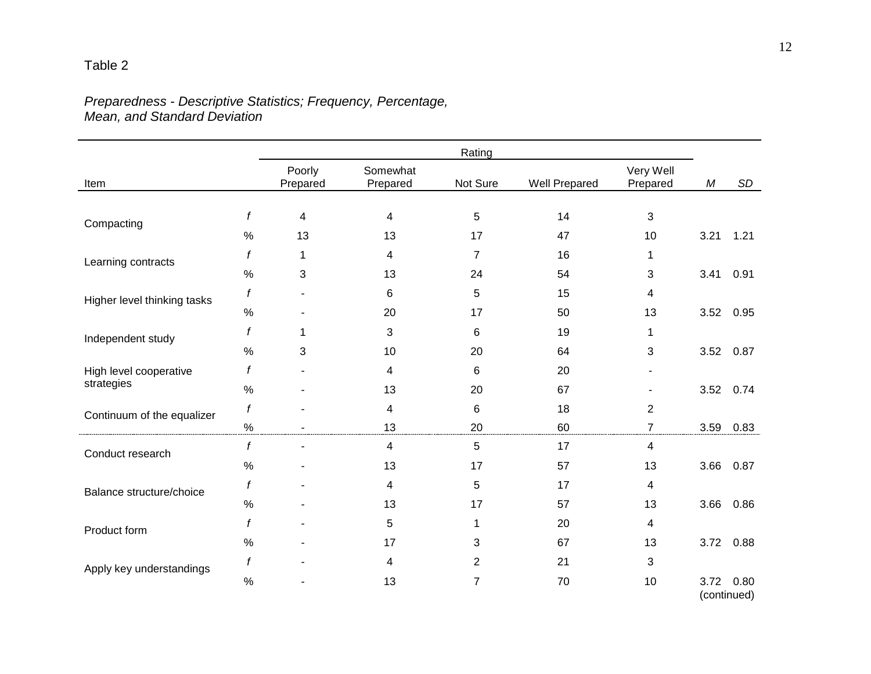# *Preparedness - Descriptive Statistics; Frequency, Percentage, Mean, and Standard Deviation*

|                             | Rating |                    |                      |                |               |                       |      |             |
|-----------------------------|--------|--------------------|----------------------|----------------|---------------|-----------------------|------|-------------|
| Item                        |        | Poorly<br>Prepared | Somewhat<br>Prepared | Not Sure       | Well Prepared | Very Well<br>Prepared | М    | SD          |
|                             |        |                    |                      |                |               |                       |      |             |
| Compacting                  | f      | 4                  | 4                    | 5              | 14            | 3                     |      |             |
|                             | $\%$   | 13                 | 13                   | 17             | 47            | 10                    | 3.21 | 1.21        |
| Learning contracts          | f      | 1                  | 4                    | 7              | 16            | 1                     |      |             |
|                             | $\%$   | 3                  | 13                   | 24             | 54            | 3                     | 3.41 | 0.91        |
| Higher level thinking tasks | f      |                    | 6                    | 5              | 15            | 4                     |      |             |
|                             | $\%$   |                    | 20                   | 17             | 50            | 13                    | 3.52 | 0.95        |
|                             | f      | 1                  | 3                    | 6              | 19            | 1                     |      |             |
| Independent study           | $\%$   | 3                  | 10                   | 20             | 64            | 3                     | 3.52 | 0.87        |
| High level cooperative      |        |                    | 4                    | 6              | 20            |                       |      |             |
| strategies                  | $\%$   |                    | 13                   | 20             | 67            |                       |      | 3.52 0.74   |
| Continuum of the equalizer  | f      |                    | 4                    | 6              | 18            | 2                     |      |             |
|                             | $\%$   |                    | 13                   | 20             | 60            | $\overline{7}$        | 3.59 | 0.83        |
| Conduct research            | f      |                    | 4                    | 5              | 17            | 4                     |      |             |
|                             | $\%$   |                    | 13                   | 17             | 57            | 13                    | 3.66 | 0.87        |
|                             | f      |                    | 4                    | 5              | 17            | 4                     |      |             |
| Balance structure/choice    | $\%$   |                    | 13                   | 17             | 57            | 13                    | 3.66 | 0.86        |
| Product form                | f      |                    | 5                    | 1              | 20            | 4                     |      |             |
|                             | $\%$   |                    | 17                   | 3              | 67            | 13                    | 3.72 | 0.88        |
|                             | f      |                    | 4                    | 2              | 21            | 3                     |      |             |
| Apply key understandings    | $\%$   |                    | 13                   | $\overline{7}$ | 70            | 10                    | 3.72 | 0.80        |
|                             |        |                    |                      |                |               |                       |      | (continued) |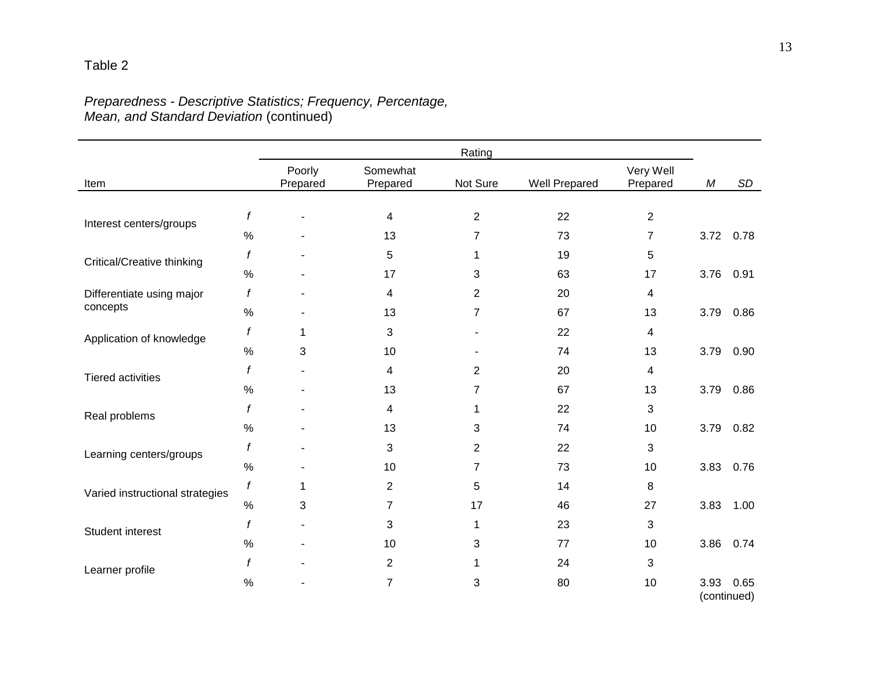# *Preparedness - Descriptive Statistics; Frequency, Percentage, Mean, and Standard Deviation* (continued)

Table 2

|                                 |                  |                    |                      | Rating         |               |                       |            |                     |
|---------------------------------|------------------|--------------------|----------------------|----------------|---------------|-----------------------|------------|---------------------|
| Item                            |                  | Poorly<br>Prepared | Somewhat<br>Prepared | Not Sure       | Well Prepared | Very Well<br>Prepared | ${\cal M}$ | <b>SD</b>           |
| Interest centers/groups         | $\boldsymbol{f}$ |                    | 4                    | 2              | 22            | $\overline{2}$        |            |                     |
|                                 | $\%$             |                    | 13                   | $\overline{7}$ | 73            | $\overline{7}$        | 3.72       | 0.78                |
| Critical/Creative thinking      | f                |                    | 5                    | 1              | 19            | 5                     |            |                     |
|                                 | $\%$             |                    | 17                   | 3              | 63            | 17                    | 3.76       | 0.91                |
| Differentiate using major       | f                |                    | 4                    | $\overline{2}$ | 20            | 4                     |            |                     |
| concepts                        | $\%$             | $\blacksquare$     | 13                   | $\overline{7}$ | 67            | 13                    | 3.79       | 0.86                |
| Application of knowledge        | f                | 1                  | 3                    |                | 22            | 4                     |            |                     |
|                                 | $\%$             | 3                  | 10                   |                | 74            | 13                    | 3.79       | 0.90                |
| <b>Tiered activities</b>        | f                |                    | 4                    | $\overline{2}$ | 20            | 4                     |            |                     |
|                                 | $\%$             |                    | 13                   | $\overline{7}$ | 67            | 13                    | 3.79       | 0.86                |
| Real problems                   | f                |                    | 4                    | 1              | 22            | 3                     |            |                     |
|                                 | $\%$             |                    | 13                   | 3              | 74            | 10                    | 3.79       | 0.82                |
| Learning centers/groups         | $\boldsymbol{f}$ |                    | 3                    | 2              | 22            | 3                     |            |                     |
|                                 | $\%$             |                    | 10                   | $\overline{7}$ | 73            | 10                    | 3.83       | 0.76                |
| Varied instructional strategies | f                | 1                  | $\mathbf{2}$         | 5              | 14            | 8                     |            |                     |
|                                 | $\%$             | 3                  | $\overline{7}$       | 17             | 46            | 27                    | 3.83       | 1.00                |
| Student interest                | f                | $\blacksquare$     | 3                    | 1              | 23            | 3                     |            |                     |
|                                 | $\%$             |                    | 10                   | 3              | 77            | 10                    | 3.86       | 0.74                |
| Learner profile                 | f                |                    | $\overline{2}$       | 1              | 24            | 3                     |            |                     |
|                                 | $\%$             |                    | $\boldsymbol{7}$     | 3              | 80            | 10                    | 3.93       | 0.65<br>(continued) |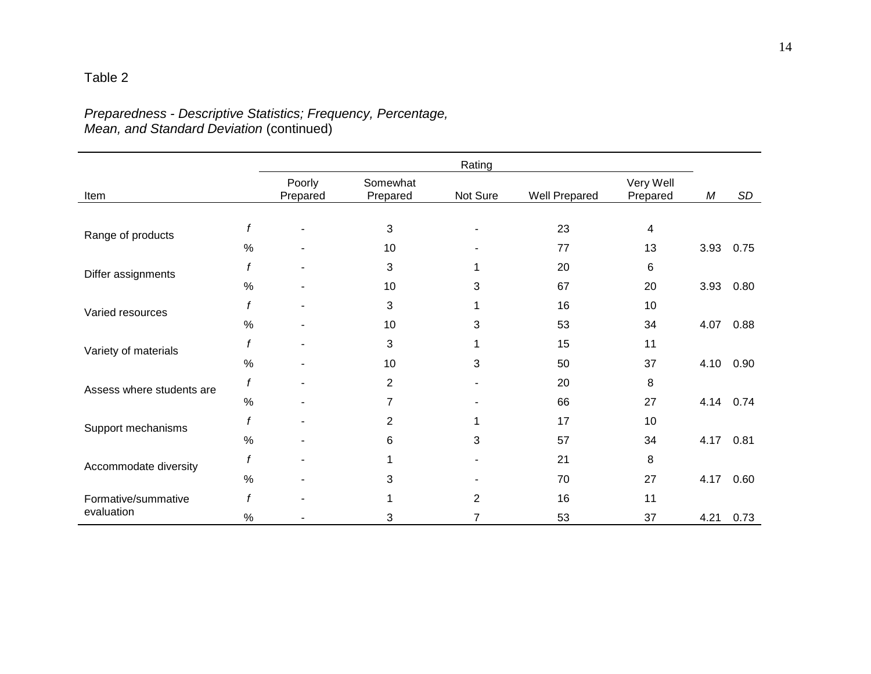# Table 2

# *Preparedness - Descriptive Statistics; Frequency, Percentage, Mean, and Standard Deviation* (continued)

|                           |               |                    |                      | Rating   |                      |                       |      |      |
|---------------------------|---------------|--------------------|----------------------|----------|----------------------|-----------------------|------|------|
| Item                      |               | Poorly<br>Prepared | Somewhat<br>Prepared | Not Sure | <b>Well Prepared</b> | Very Well<br>Prepared | М    | SD   |
|                           |               |                    |                      |          |                      |                       |      |      |
| Range of products         | f             |                    | 3                    |          | 23                   | 4                     |      |      |
|                           | $\frac{0}{0}$ |                    | 10                   |          | 77                   | 13                    | 3.93 | 0.75 |
| Differ assignments        |               |                    | 3                    | 1        | 20                   | 6                     |      |      |
|                           | %             |                    | 10                   | 3        | 67                   | 20                    | 3.93 | 0.80 |
| Varied resources          |               |                    | 3                    |          | 16                   | 10                    |      |      |
|                           | %             |                    | 10                   | 3        | 53                   | 34                    | 4.07 | 0.88 |
| Variety of materials      | f             |                    | 3                    |          | 15                   | 11                    |      |      |
|                           | $\frac{0}{0}$ |                    | 10                   | 3        | 50                   | 37                    | 4.10 | 0.90 |
| Assess where students are | $\mathbf f$   |                    | $\overline{2}$       |          | 20                   | 8                     |      |      |
|                           | %             |                    | 7                    |          | 66                   | 27                    | 4.14 | 0.74 |
| Support mechanisms        | f             |                    | 2                    | 1        | 17                   | 10                    |      |      |
|                           | $\%$          |                    | 6                    | 3        | 57                   | 34                    | 4.17 | 0.81 |
| Accommodate diversity     | f             |                    |                      |          | 21                   | 8                     |      |      |
|                           | $\%$          |                    | 3                    |          | 70                   | 27                    | 4.17 | 0.60 |
| Formative/summative       | f             |                    |                      | 2        | 16                   | 11                    |      |      |
| evaluation                | %             |                    | 3                    | 7        | 53                   | 37                    | 4.21 | 0.73 |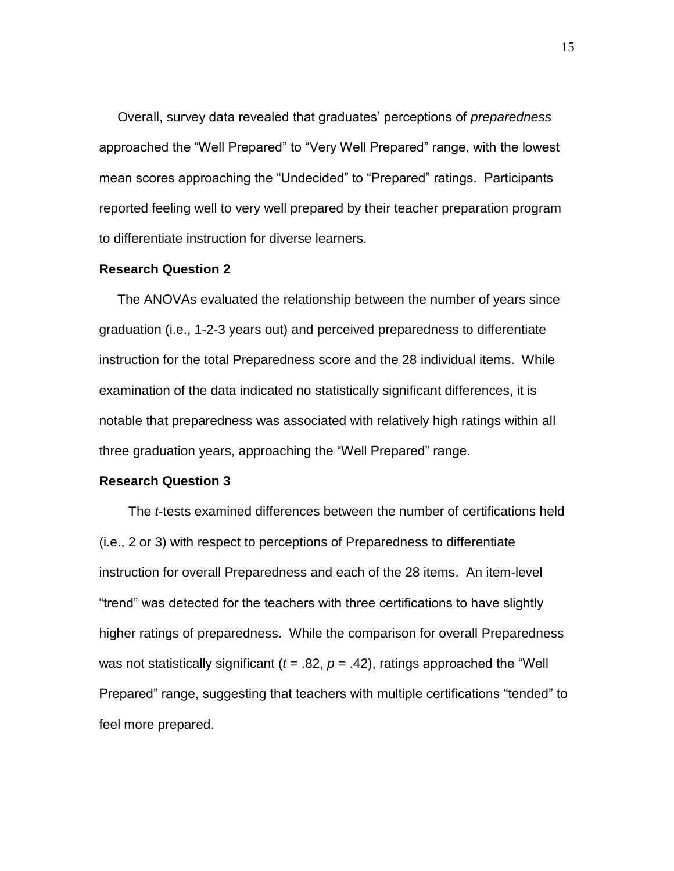Overall, survey data revealed that graduates' perceptions of *preparedness* approached the "Well Prepared" to "Very Well Prepared" range, with the lowest mean scores approaching the "Undecided" to "Prepared" ratings. Participants reported feeling well to very well prepared by their teacher preparation program to differentiate instruction for diverse learners.

#### **Research Question 2**

The ANOVAs evaluated the relationship between the number of years since graduation (i.e., 1-2-3 years out) and perceived preparedness to differentiate instruction for the total Preparedness score and the 28 individual items. While examination of the data indicated no statistically significant differences, it is notable that preparedness was associated with relatively high ratings within all three graduation years, approaching the "Well Prepared" range.

#### **Research Question 3**

The *t*-tests examined differences between the number of certifications held (i.e., 2 or 3) with respect to perceptions of Preparedness to differentiate instruction for overall Preparedness and each of the 28 items. An item-level "trend" was detected for the teachers with three certifications to have slightly higher ratings of preparedness. While the comparison for overall Preparedness was not statistically significant ( $t = .82$ ,  $p = .42$ ), ratings approached the "Well Prepared" range, suggesting that teachers with multiple certifications "tended" to feel more prepared.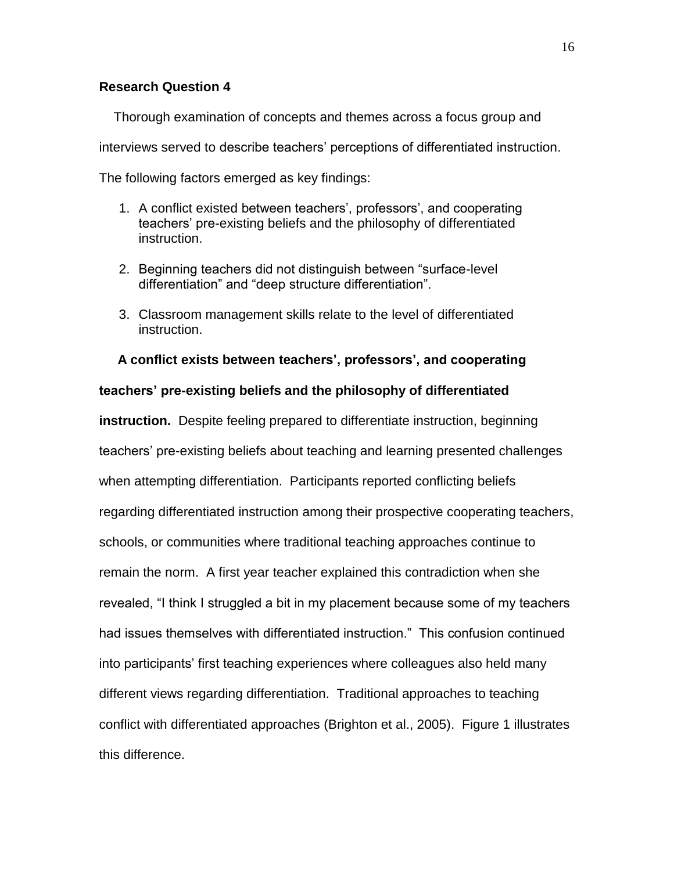# **Research Question 4**

Thorough examination of concepts and themes across a focus group and interviews served to describe teachers' perceptions of differentiated instruction. The following factors emerged as key findings:

- 1. A conflict existed between teachers', professors', and cooperating teachers' pre-existing beliefs and the philosophy of differentiated instruction.
- 2. Beginning teachers did not distinguish between "surface-level differentiation" and "deep structure differentiation".
- 3. Classroom management skills relate to the level of differentiated instruction.

#### **A conflict exists between teachers', professors', and cooperating**

#### **teachers' pre-existing beliefs and the philosophy of differentiated**

**instruction.** Despite feeling prepared to differentiate instruction, beginning teachers' pre-existing beliefs about teaching and learning presented challenges when attempting differentiation. Participants reported conflicting beliefs regarding differentiated instruction among their prospective cooperating teachers, schools, or communities where traditional teaching approaches continue to remain the norm. A first year teacher explained this contradiction when she revealed, "I think I struggled a bit in my placement because some of my teachers had issues themselves with differentiated instruction." This confusion continued into participants' first teaching experiences where colleagues also held many different views regarding differentiation. Traditional approaches to teaching conflict with differentiated approaches (Brighton et al., 2005). Figure 1 illustrates this difference.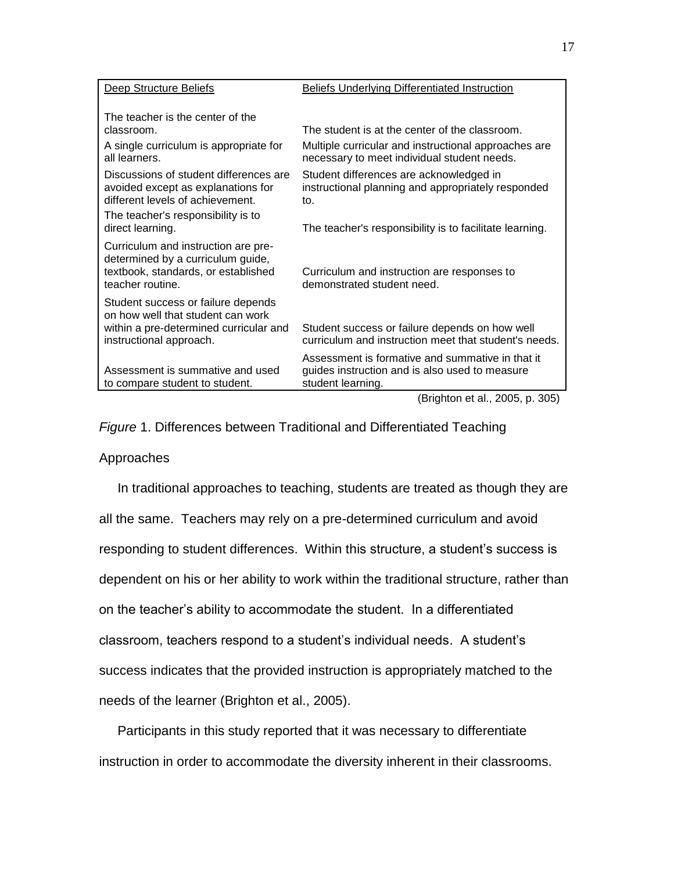| Deep Structure Beliefs                                                                                                                       | <b>Beliefs Underlying Differentiated Instruction</b>                                                                    |
|----------------------------------------------------------------------------------------------------------------------------------------------|-------------------------------------------------------------------------------------------------------------------------|
| The teacher is the center of the<br>classroom.                                                                                               | The student is at the center of the classroom.                                                                          |
| A single curriculum is appropriate for<br>all learners.                                                                                      | Multiple curricular and instructional approaches are<br>necessary to meet individual student needs.                     |
| Discussions of student differences are<br>avoided except as explanations for<br>different levels of achievement.                             | Student differences are acknowledged in<br>instructional planning and appropriately responded<br>to.                    |
| The teacher's responsibility is to<br>direct learning.                                                                                       | The teacher's responsibility is to facilitate learning.                                                                 |
| Curriculum and instruction are pre-<br>determined by a curriculum guide,<br>textbook, standards, or established<br>teacher routine.          | Curriculum and instruction are responses to<br>demonstrated student need.                                               |
| Student success or failure depends<br>on how well that student can work<br>within a pre-determined curricular and<br>instructional approach. | Student success or failure depends on how well<br>curriculum and instruction meet that student's needs.                 |
| Assessment is summative and used<br>to compare student to student.                                                                           | Assessment is formative and summative in that it<br>guides instruction and is also used to measure<br>student learning. |

(Brighton et al., 2005, p. 305)

*Figure* 1. Differences between Traditional and Differentiated Teaching

# Approaches

 In traditional approaches to teaching, students are treated as though they are all the same. Teachers may rely on a pre-determined curriculum and avoid responding to student differences. Within this structure, a student's success is dependent on his or her ability to work within the traditional structure, rather than on the teacher's ability to accommodate the student. In a differentiated classroom, teachers respond to a student's individual needs. A student's success indicates that the provided instruction is appropriately matched to the needs of the learner (Brighton et al., 2005).

 Participants in this study reported that it was necessary to differentiate instruction in order to accommodate the diversity inherent in their classrooms.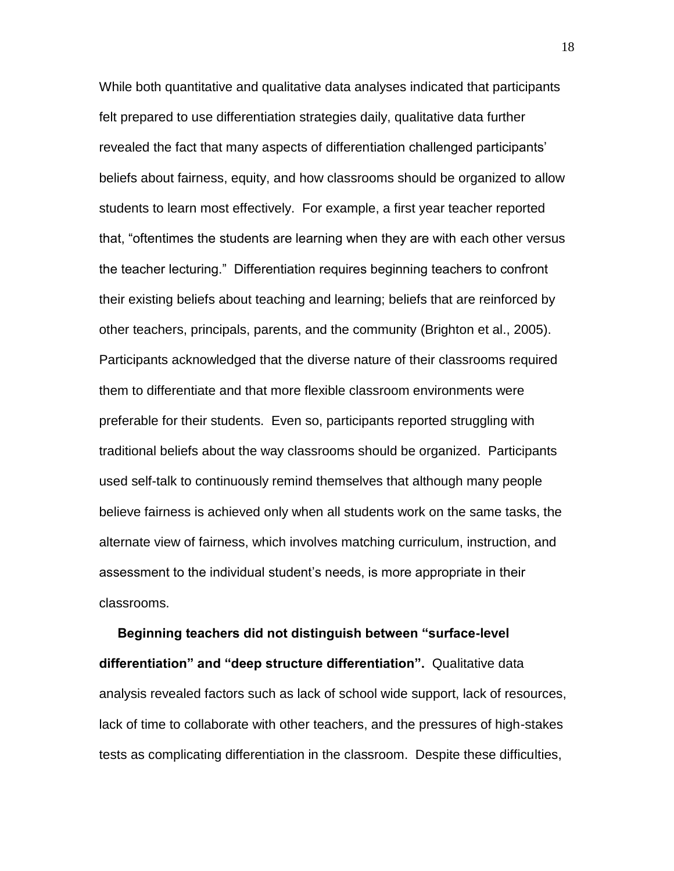While both quantitative and qualitative data analyses indicated that participants felt prepared to use differentiation strategies daily, qualitative data further revealed the fact that many aspects of differentiation challenged participants' beliefs about fairness, equity, and how classrooms should be organized to allow students to learn most effectively. For example, a first year teacher reported that, "oftentimes the students are learning when they are with each other versus the teacher lecturing." Differentiation requires beginning teachers to confront their existing beliefs about teaching and learning; beliefs that are reinforced by other teachers, principals, parents, and the community (Brighton et al., 2005). Participants acknowledged that the diverse nature of their classrooms required them to differentiate and that more flexible classroom environments were preferable for their students. Even so, participants reported struggling with traditional beliefs about the way classrooms should be organized. Participants used self-talk to continuously remind themselves that although many people believe fairness is achieved only when all students work on the same tasks, the alternate view of fairness, which involves matching curriculum, instruction, and assessment to the individual student's needs, is more appropriate in their classrooms.

 **Beginning teachers did not distinguish between "surface-level differentiation" and "deep structure differentiation".** Qualitative data analysis revealed factors such as lack of school wide support, lack of resources, lack of time to collaborate with other teachers, and the pressures of high-stakes tests as complicating differentiation in the classroom. Despite these difficulties,

18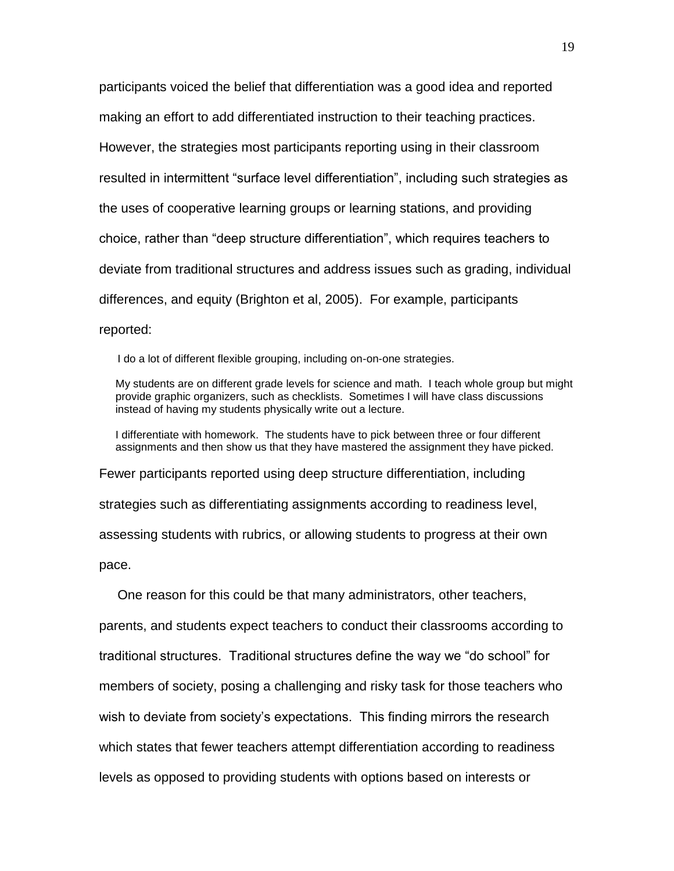participants voiced the belief that differentiation was a good idea and reported making an effort to add differentiated instruction to their teaching practices. However, the strategies most participants reporting using in their classroom resulted in intermittent "surface level differentiation", including such strategies as the uses of cooperative learning groups or learning stations, and providing choice, rather than "deep structure differentiation", which requires teachers to deviate from traditional structures and address issues such as grading, individual differences, and equity (Brighton et al, 2005). For example, participants reported:

I do a lot of different flexible grouping, including on-on-one strategies.

My students are on different grade levels for science and math. I teach whole group but might provide graphic organizers, such as checklists. Sometimes I will have class discussions instead of having my students physically write out a lecture.

I differentiate with homework. The students have to pick between three or four different assignments and then show us that they have mastered the assignment they have picked.

Fewer participants reported using deep structure differentiation, including

strategies such as differentiating assignments according to readiness level,

assessing students with rubrics, or allowing students to progress at their own

pace.

One reason for this could be that many administrators, other teachers,

parents, and students expect teachers to conduct their classrooms according to traditional structures. Traditional structures define the way we "do school" for members of society, posing a challenging and risky task for those teachers who wish to deviate from society's expectations. This finding mirrors the research which states that fewer teachers attempt differentiation according to readiness levels as opposed to providing students with options based on interests or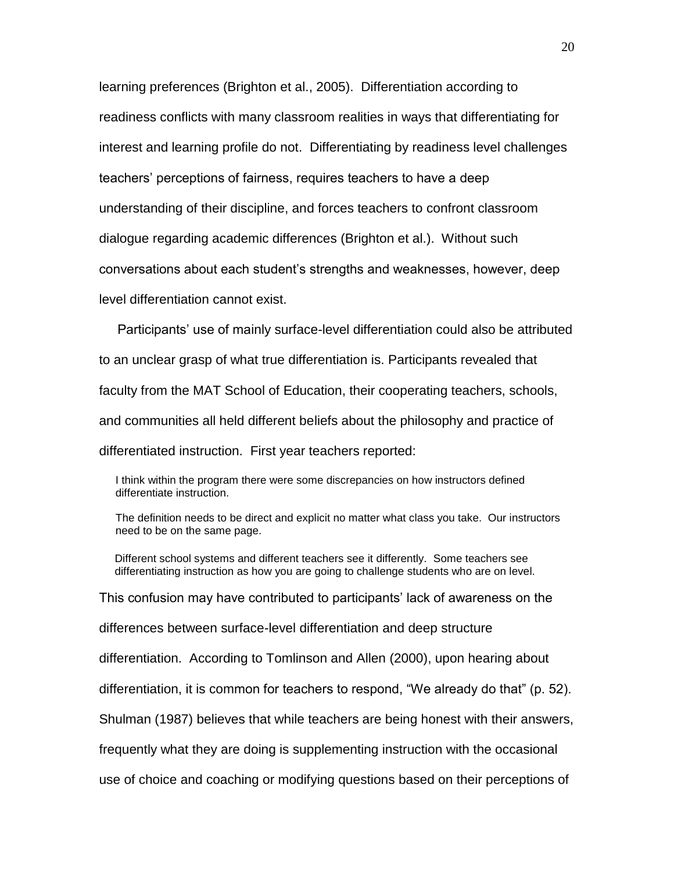learning preferences (Brighton et al., 2005). Differentiation according to readiness conflicts with many classroom realities in ways that differentiating for interest and learning profile do not. Differentiating by readiness level challenges teachers' perceptions of fairness, requires teachers to have a deep understanding of their discipline, and forces teachers to confront classroom dialogue regarding academic differences (Brighton et al.). Without such conversations about each student's strengths and weaknesses, however, deep level differentiation cannot exist.

 Participants' use of mainly surface-level differentiation could also be attributed to an unclear grasp of what true differentiation is. Participants revealed that faculty from the MAT School of Education, their cooperating teachers, schools, and communities all held different beliefs about the philosophy and practice of differentiated instruction. First year teachers reported:

I think within the program there were some discrepancies on how instructors defined differentiate instruction.

The definition needs to be direct and explicit no matter what class you take. Our instructors need to be on the same page.

Different school systems and different teachers see it differently. Some teachers see differentiating instruction as how you are going to challenge students who are on level.

This confusion may have contributed to participants' lack of awareness on the

differences between surface-level differentiation and deep structure

differentiation. According to Tomlinson and Allen (2000), upon hearing about

differentiation, it is common for teachers to respond, "We already do that" (p. 52).

Shulman (1987) believes that while teachers are being honest with their answers,

frequently what they are doing is supplementing instruction with the occasional

use of choice and coaching or modifying questions based on their perceptions of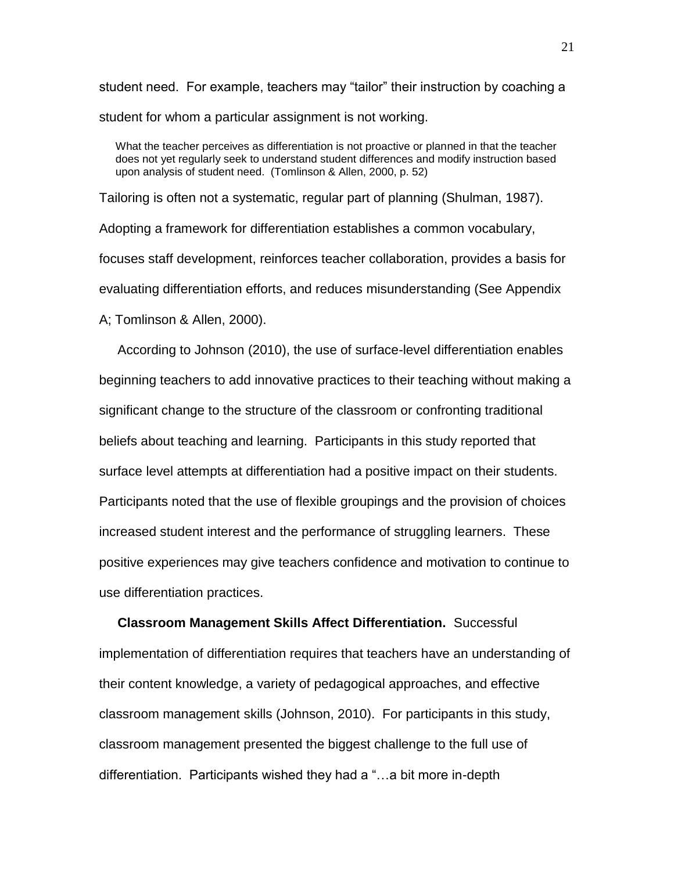student need. For example, teachers may "tailor" their instruction by coaching a student for whom a particular assignment is not working.

What the teacher perceives as differentiation is not proactive or planned in that the teacher does not yet regularly seek to understand student differences and modify instruction based upon analysis of student need. (Tomlinson & Allen, 2000, p. 52)

Tailoring is often not a systematic, regular part of planning (Shulman, 1987). Adopting a framework for differentiation establishes a common vocabulary, focuses staff development, reinforces teacher collaboration, provides a basis for evaluating differentiation efforts, and reduces misunderstanding (See Appendix A; Tomlinson & Allen, 2000).

 According to Johnson (2010), the use of surface-level differentiation enables beginning teachers to add innovative practices to their teaching without making a significant change to the structure of the classroom or confronting traditional beliefs about teaching and learning. Participants in this study reported that surface level attempts at differentiation had a positive impact on their students. Participants noted that the use of flexible groupings and the provision of choices increased student interest and the performance of struggling learners. These positive experiences may give teachers confidence and motivation to continue to use differentiation practices.

 **Classroom Management Skills Affect Differentiation.** Successful implementation of differentiation requires that teachers have an understanding of their content knowledge, a variety of pedagogical approaches, and effective classroom management skills (Johnson, 2010). For participants in this study, classroom management presented the biggest challenge to the full use of differentiation. Participants wished they had a "…a bit more in-depth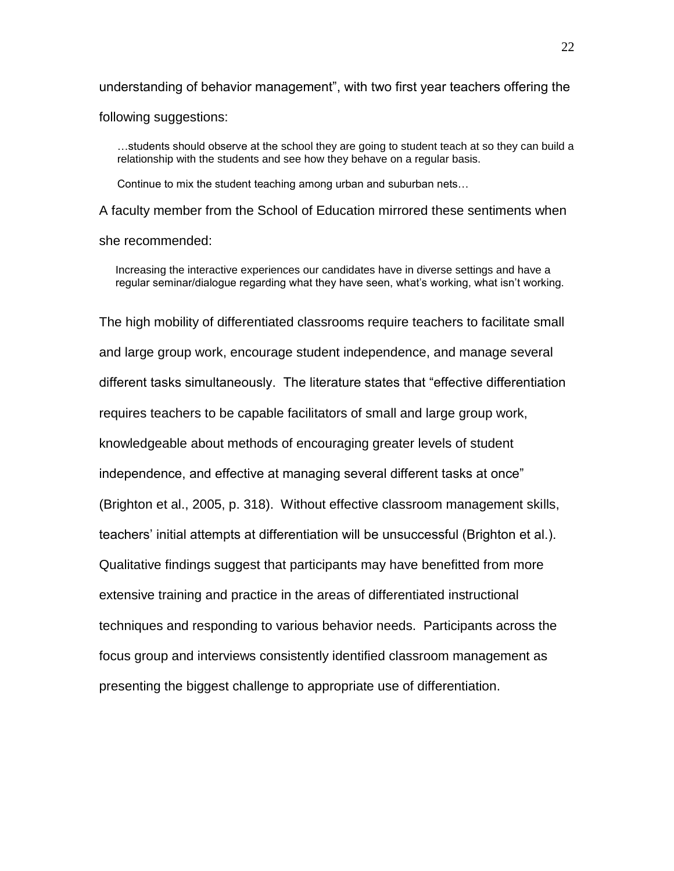understanding of behavior management", with two first year teachers offering the following suggestions:

…students should observe at the school they are going to student teach at so they can build a relationship with the students and see how they behave on a regular basis.

Continue to mix the student teaching among urban and suburban nets…

A faculty member from the School of Education mirrored these sentiments when she recommended:

Increasing the interactive experiences our candidates have in diverse settings and have a regular seminar/dialogue regarding what they have seen, what's working, what isn't working.

The high mobility of differentiated classrooms require teachers to facilitate small and large group work, encourage student independence, and manage several different tasks simultaneously. The literature states that "effective differentiation requires teachers to be capable facilitators of small and large group work, knowledgeable about methods of encouraging greater levels of student independence, and effective at managing several different tasks at once" (Brighton et al., 2005, p. 318). Without effective classroom management skills, teachers' initial attempts at differentiation will be unsuccessful (Brighton et al.). Qualitative findings suggest that participants may have benefitted from more extensive training and practice in the areas of differentiated instructional techniques and responding to various behavior needs. Participants across the focus group and interviews consistently identified classroom management as presenting the biggest challenge to appropriate use of differentiation.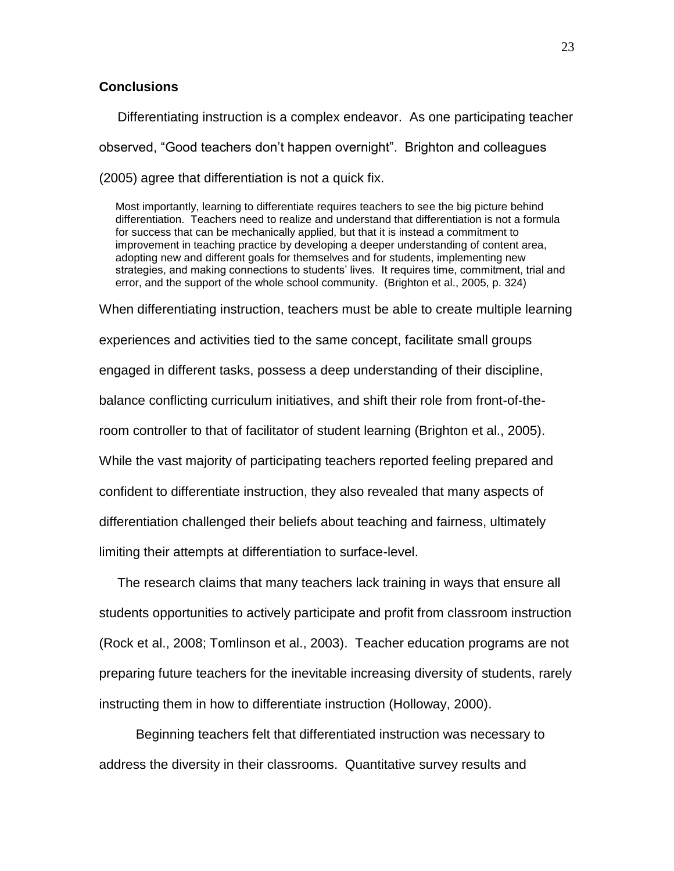# **Conclusions**

 Differentiating instruction is a complex endeavor. As one participating teacher observed, "Good teachers don't happen overnight". Brighton and colleagues (2005) agree that differentiation is not a quick fix.

Most importantly, learning to differentiate requires teachers to see the big picture behind differentiation. Teachers need to realize and understand that differentiation is not a formula for success that can be mechanically applied, but that it is instead a commitment to improvement in teaching practice by developing a deeper understanding of content area, adopting new and different goals for themselves and for students, implementing new strategies, and making connections to students' lives. It requires time, commitment, trial and error, and the support of the whole school community. (Brighton et al., 2005, p. 324)

When differentiating instruction, teachers must be able to create multiple learning experiences and activities tied to the same concept, facilitate small groups engaged in different tasks, possess a deep understanding of their discipline, balance conflicting curriculum initiatives, and shift their role from front-of-theroom controller to that of facilitator of student learning (Brighton et al., 2005). While the vast majority of participating teachers reported feeling prepared and confident to differentiate instruction, they also revealed that many aspects of differentiation challenged their beliefs about teaching and fairness, ultimately limiting their attempts at differentiation to surface-level.

 The research claims that many teachers lack training in ways that ensure all students opportunities to actively participate and profit from classroom instruction (Rock et al., 2008; Tomlinson et al., 2003). Teacher education programs are not preparing future teachers for the inevitable increasing diversity of students, rarely instructing them in how to differentiate instruction (Holloway, 2000).

 Beginning teachers felt that differentiated instruction was necessary to address the diversity in their classrooms. Quantitative survey results and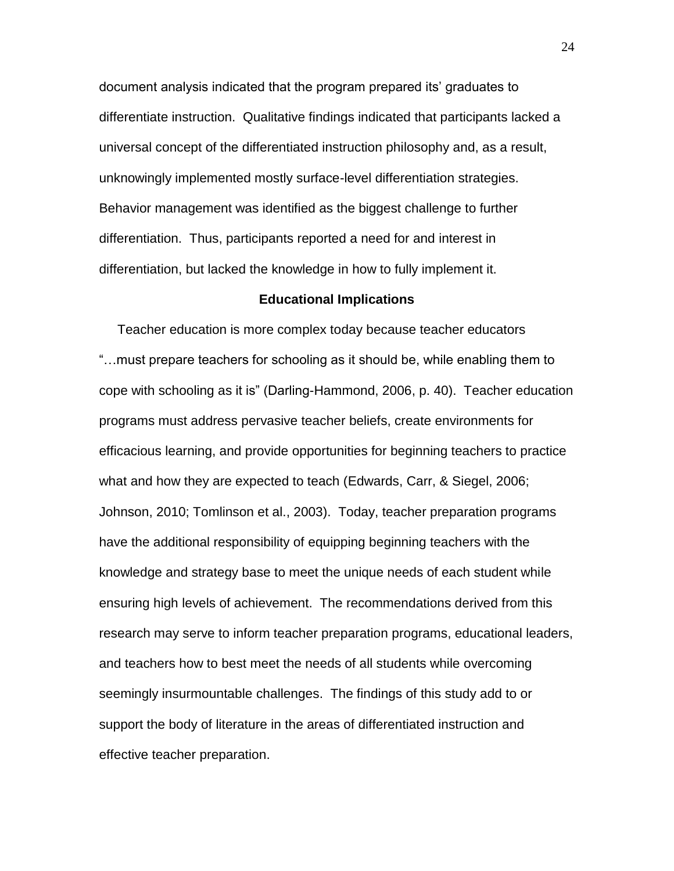document analysis indicated that the program prepared its' graduates to differentiate instruction. Qualitative findings indicated that participants lacked a universal concept of the differentiated instruction philosophy and, as a result, unknowingly implemented mostly surface-level differentiation strategies. Behavior management was identified as the biggest challenge to further differentiation. Thus, participants reported a need for and interest in differentiation, but lacked the knowledge in how to fully implement it.

#### **Educational Implications**

 Teacher education is more complex today because teacher educators "…must prepare teachers for schooling as it should be, while enabling them to cope with schooling as it is" (Darling-Hammond, 2006, p. 40). Teacher education programs must address pervasive teacher beliefs, create environments for efficacious learning, and provide opportunities for beginning teachers to practice what and how they are expected to teach (Edwards, Carr, & Siegel, 2006; Johnson, 2010; Tomlinson et al., 2003). Today, teacher preparation programs have the additional responsibility of equipping beginning teachers with the knowledge and strategy base to meet the unique needs of each student while ensuring high levels of achievement. The recommendations derived from this research may serve to inform teacher preparation programs, educational leaders, and teachers how to best meet the needs of all students while overcoming seemingly insurmountable challenges. The findings of this study add to or support the body of literature in the areas of differentiated instruction and effective teacher preparation.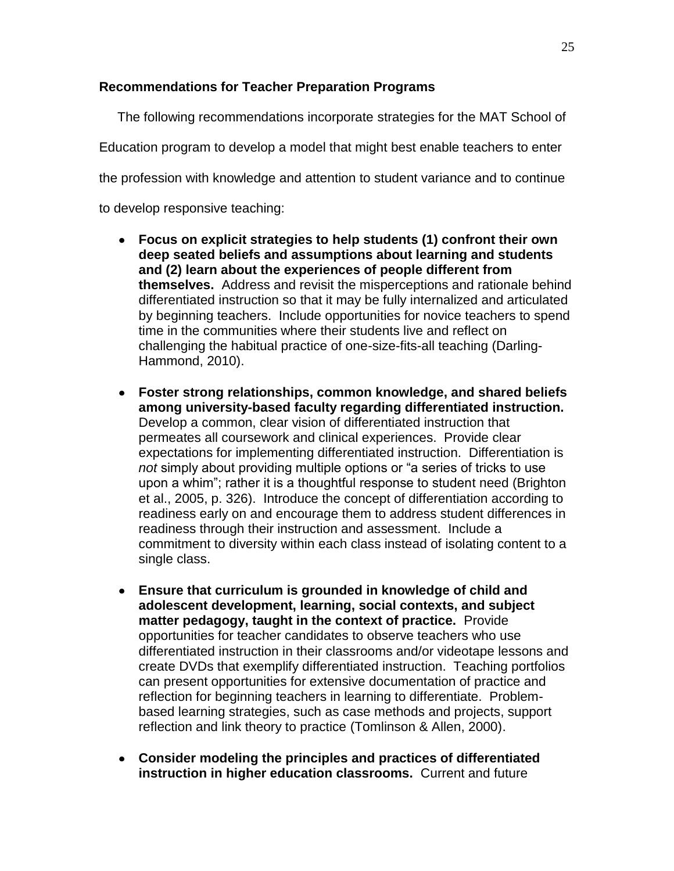# **Recommendations for Teacher Preparation Programs**

 The following recommendations incorporate strategies for the MAT School of Education program to develop a model that might best enable teachers to enter the profession with knowledge and attention to student variance and to continue to develop responsive teaching:

- **Focus on explicit strategies to help students (1) confront their own deep seated beliefs and assumptions about learning and students and (2) learn about the experiences of people different from themselves.** Address and revisit the misperceptions and rationale behind differentiated instruction so that it may be fully internalized and articulated by beginning teachers. Include opportunities for novice teachers to spend time in the communities where their students live and reflect on challenging the habitual practice of one-size-fits-all teaching (Darling-Hammond, 2010).
- **Foster strong relationships, common knowledge, and shared beliefs among university-based faculty regarding differentiated instruction.** Develop a common, clear vision of differentiated instruction that permeates all coursework and clinical experiences. Provide clear expectations for implementing differentiated instruction. Differentiation is *not* simply about providing multiple options or "a series of tricks to use upon a whim"; rather it is a thoughtful response to student need (Brighton et al., 2005, p. 326). Introduce the concept of differentiation according to readiness early on and encourage them to address student differences in readiness through their instruction and assessment. Include a commitment to diversity within each class instead of isolating content to a single class.
- **Ensure that curriculum is grounded in knowledge of child and adolescent development, learning, social contexts, and subject matter pedagogy, taught in the context of practice.** Provide opportunities for teacher candidates to observe teachers who use differentiated instruction in their classrooms and/or videotape lessons and create DVDs that exemplify differentiated instruction. Teaching portfolios can present opportunities for extensive documentation of practice and reflection for beginning teachers in learning to differentiate. Problembased learning strategies, such as case methods and projects, support reflection and link theory to practice (Tomlinson & Allen, 2000).
- **Consider modeling the principles and practices of differentiated instruction in higher education classrooms.** Current and future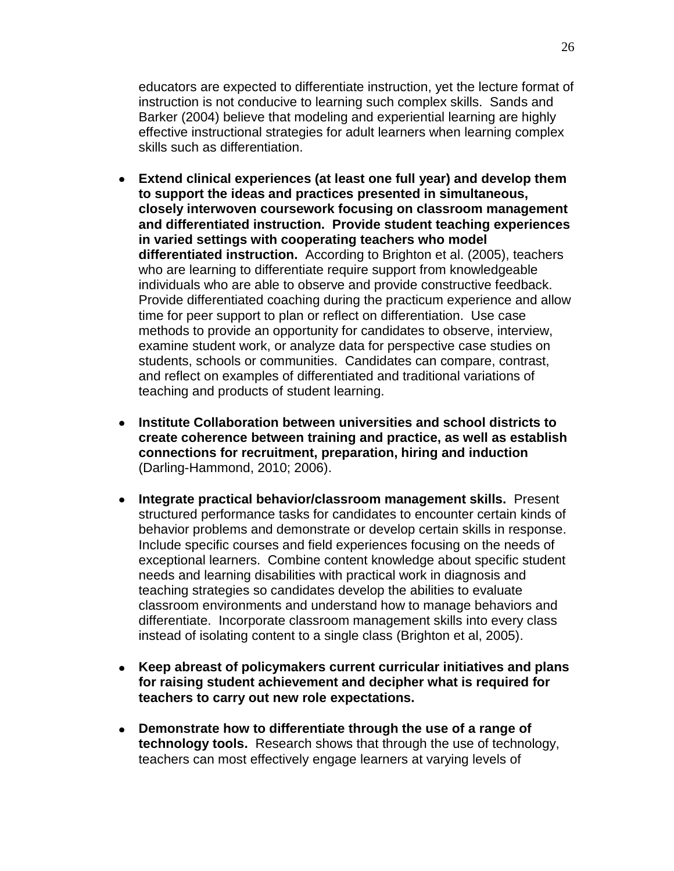educators are expected to differentiate instruction, yet the lecture format of instruction is not conducive to learning such complex skills. Sands and Barker (2004) believe that modeling and experiential learning are highly effective instructional strategies for adult learners when learning complex skills such as differentiation.

- **Extend clinical experiences (at least one full year) and develop them to support the ideas and practices presented in simultaneous, closely interwoven coursework focusing on classroom management and differentiated instruction. Provide student teaching experiences in varied settings with cooperating teachers who model differentiated instruction.** According to Brighton et al. (2005), teachers who are learning to differentiate require support from knowledgeable individuals who are able to observe and provide constructive feedback. Provide differentiated coaching during the practicum experience and allow time for peer support to plan or reflect on differentiation. Use case methods to provide an opportunity for candidates to observe, interview, examine student work, or analyze data for perspective case studies on students, schools or communities. Candidates can compare, contrast, and reflect on examples of differentiated and traditional variations of teaching and products of student learning.
- **Institute Collaboration between universities and school districts to create coherence between training and practice, as well as establish connections for recruitment, preparation, hiring and induction** (Darling-Hammond, 2010; 2006).
- **Integrate practical behavior/classroom management skills.** Present structured performance tasks for candidates to encounter certain kinds of behavior problems and demonstrate or develop certain skills in response. Include specific courses and field experiences focusing on the needs of exceptional learners. Combine content knowledge about specific student needs and learning disabilities with practical work in diagnosis and teaching strategies so candidates develop the abilities to evaluate classroom environments and understand how to manage behaviors and differentiate. Incorporate classroom management skills into every class instead of isolating content to a single class (Brighton et al, 2005).
- **Keep abreast of policymakers current curricular initiatives and plans for raising student achievement and decipher what is required for teachers to carry out new role expectations.**
- **Demonstrate how to differentiate through the use of a range of technology tools.** Research shows that through the use of technology, teachers can most effectively engage learners at varying levels of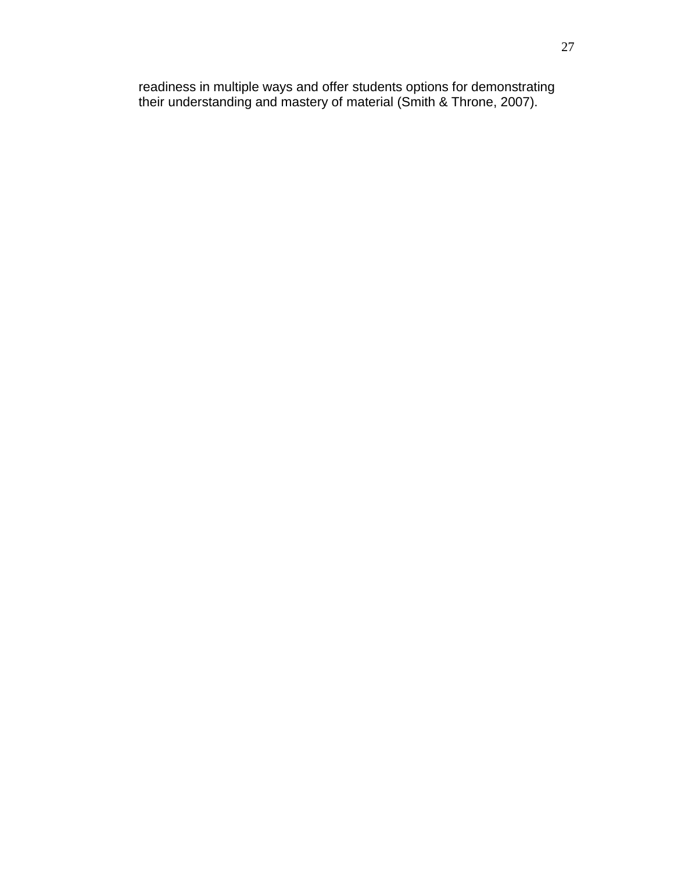readiness in multiple ways and offer students options for demonstrating their understanding and mastery of material (Smith & Throne, 2007).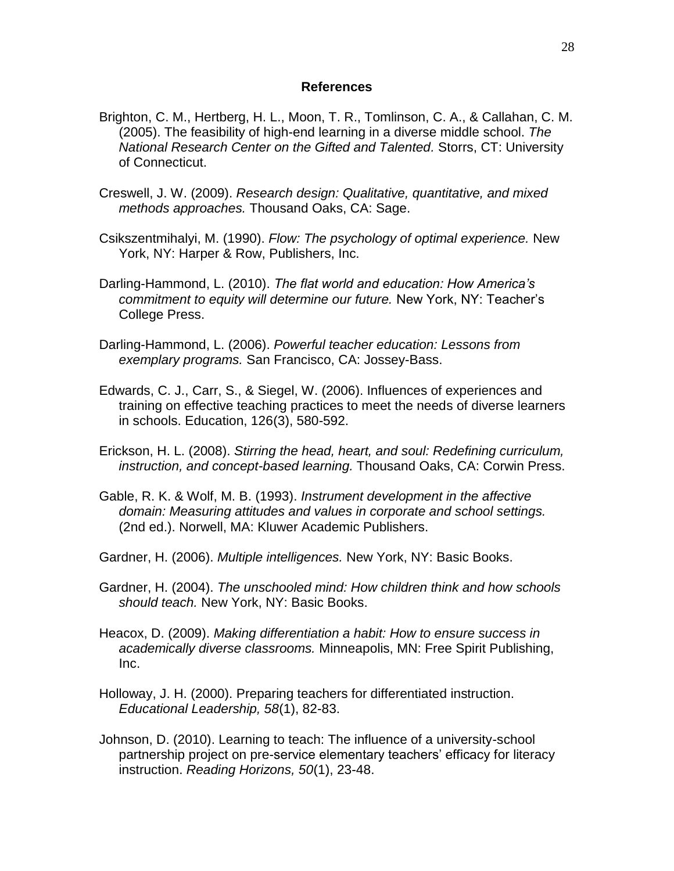#### **References**

- Brighton, C. M., Hertberg, H. L., Moon, T. R., Tomlinson, C. A., & Callahan, C. M. (2005). The feasibility of high-end learning in a diverse middle school. *The National Research Center on the Gifted and Talented.* Storrs, CT: University of Connecticut.
- Creswell, J. W. (2009). *Research design: Qualitative, quantitative, and mixed methods approaches.* Thousand Oaks, CA: Sage.
- Csikszentmihalyi, M. (1990). *Flow: The psychology of optimal experience.* New York, NY: Harper & Row, Publishers, Inc.
- Darling-Hammond, L. (2010). *The flat world and education: How America's commitment to equity will determine our future.* New York, NY: Teacher's College Press.
- Darling-Hammond, L. (2006). *Powerful teacher education: Lessons from exemplary programs.* San Francisco, CA: Jossey-Bass.
- Edwards, C. J., Carr, S., & Siegel, W. (2006). Influences of experiences and training on effective teaching practices to meet the needs of diverse learners in schools. Education, 126(3), 580-592.
- Erickson, H. L. (2008). *Stirring the head, heart, and soul: Redefining curriculum, instruction, and concept-based learning.* Thousand Oaks, CA: Corwin Press.
- Gable, R. K. & Wolf, M. B. (1993). *Instrument development in the affective domain: Measuring attitudes and values in corporate and school settings.* (2nd ed.). Norwell, MA: Kluwer Academic Publishers.
- Gardner, H. (2006). *Multiple intelligences.* New York, NY: Basic Books.
- Gardner, H. (2004). *The unschooled mind: How children think and how schools should teach.* New York, NY: Basic Books.
- Heacox, D. (2009). *Making differentiation a habit: How to ensure success in academically diverse classrooms.* Minneapolis, MN: Free Spirit Publishing, Inc.
- Holloway, J. H. (2000). Preparing teachers for differentiated instruction. *Educational Leadership, 58*(1), 82-83.
- Johnson, D. (2010). Learning to teach: The influence of a university-school partnership project on pre-service elementary teachers' efficacy for literacy instruction. *Reading Horizons, 50*(1), 23-48.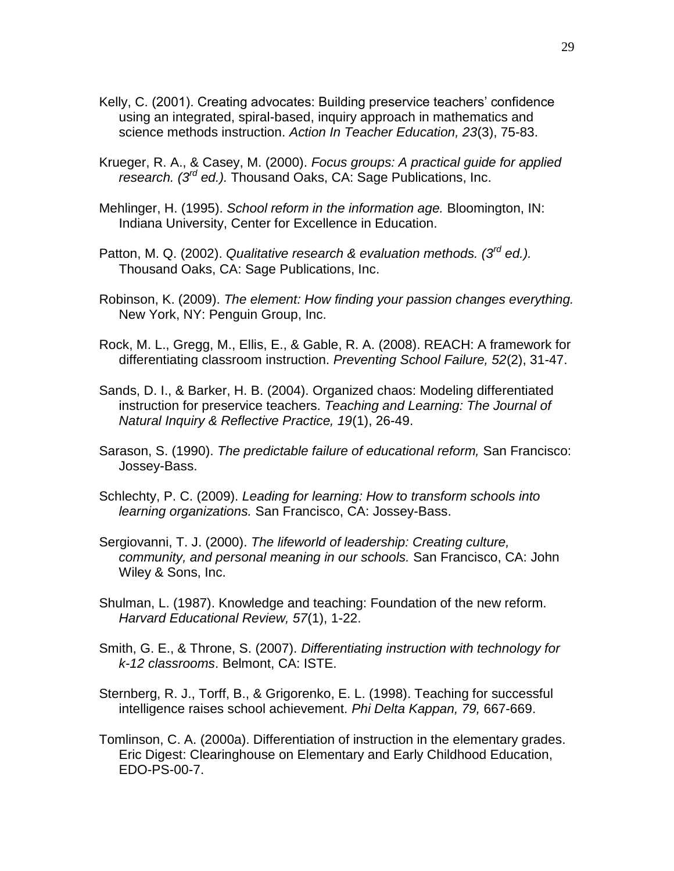- Kelly, C. (2001). Creating advocates: Building preservice teachers' confidence using an integrated, spiral-based, inquiry approach in mathematics and science methods instruction. *Action In Teacher Education, 23*(3), 75-83.
- Krueger, R. A., & Casey, M. (2000). *Focus groups: A practical guide for applied research. (3rd ed.).* Thousand Oaks, CA: Sage Publications, Inc.
- Mehlinger, H. (1995). *School reform in the information age.* Bloomington, IN: Indiana University, Center for Excellence in Education.
- Patton, M. Q. (2002). *Qualitative research & evaluation methods. (3rd ed.).*  Thousand Oaks, CA: Sage Publications, Inc.
- Robinson, K. (2009). *The element: How finding your passion changes everything.* New York, NY: Penguin Group, Inc.
- Rock, M. L., Gregg, M., Ellis, E., & Gable, R. A. (2008). REACH: A framework for differentiating classroom instruction. *Preventing School Failure, 52*(2), 31-47.
- Sands, D. I., & Barker, H. B. (2004). Organized chaos: Modeling differentiated instruction for preservice teachers. *Teaching and Learning: The Journal of Natural Inquiry & Reflective Practice, 19*(1), 26-49.
- Sarason, S. (1990). *The predictable failure of educational reform,* San Francisco: Jossey-Bass.
- Schlechty, P. C. (2009). *Leading for learning: How to transform schools into learning organizations.* San Francisco, CA: Jossey-Bass.
- Sergiovanni, T. J. (2000). *The lifeworld of leadership: Creating culture, community, and personal meaning in our schools.* San Francisco, CA: John Wiley & Sons, Inc.
- Shulman, L. (1987). Knowledge and teaching: Foundation of the new reform. *Harvard Educational Review, 57*(1), 1-22.
- Smith, G. E., & Throne, S. (2007). *Differentiating instruction with technology for k-12 classrooms*. Belmont, CA: ISTE.
- Sternberg, R. J., Torff, B., & Grigorenko, E. L. (1998). Teaching for successful intelligence raises school achievement. *Phi Delta Kappan, 79,* 667-669.
- Tomlinson, C. A. (2000a). Differentiation of instruction in the elementary grades. Eric Digest: Clearinghouse on Elementary and Early Childhood Education, EDO-PS-00-7.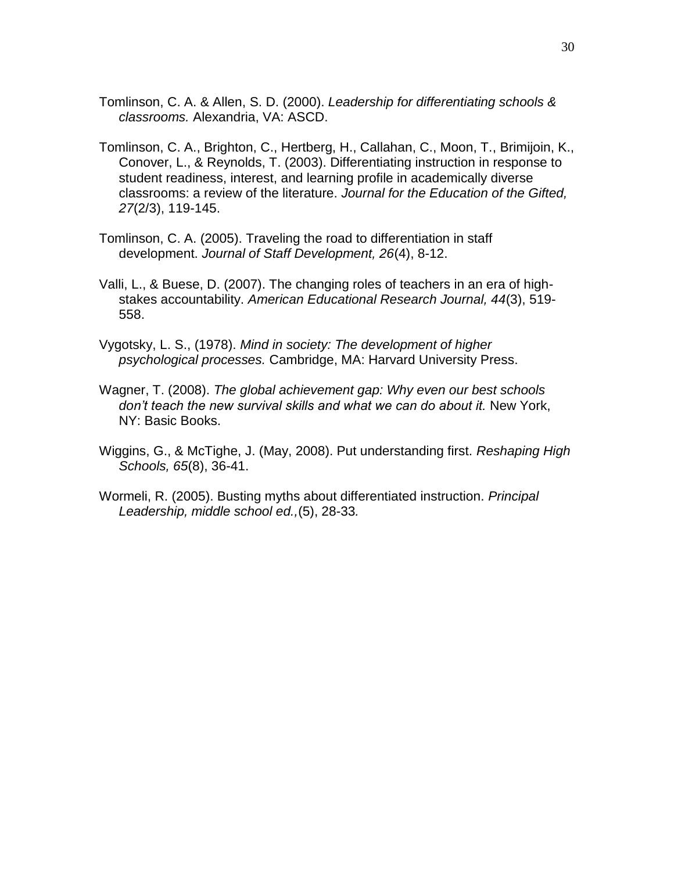- Tomlinson, C. A. & Allen, S. D. (2000). *Leadership for differentiating schools & classrooms.* Alexandria, VA: ASCD.
- Tomlinson, C. A., Brighton, C., Hertberg, H., Callahan, C., Moon, T., Brimijoin, K., Conover, L., & Reynolds, T. (2003). Differentiating instruction in response to student readiness, interest, and learning profile in academically diverse classrooms: a review of the literature. *Journal for the Education of the Gifted, 27*(2/3), 119-145.
- Tomlinson, C. A. (2005). Traveling the road to differentiation in staff development. *Journal of Staff Development, 26*(4), 8-12.
- Valli, L., & Buese, D. (2007). The changing roles of teachers in an era of highstakes accountability. *American Educational Research Journal, 44*(3), 519- 558.
- Vygotsky, L. S., (1978). *Mind in society: The development of higher psychological processes.* Cambridge, MA: Harvard University Press.
- Wagner, T. (2008). *The global achievement gap: Why even our best schools don't teach the new survival skills and what we can do about it.* New York, NY: Basic Books.
- Wiggins, G., & McTighe, J. (May, 2008). Put understanding first. *Reshaping High Schools, 65*(8), 36-41.
- Wormeli, R. (2005). Busting myths about differentiated instruction. *Principal Leadership, middle school ed.,*(5), 28-33*.*